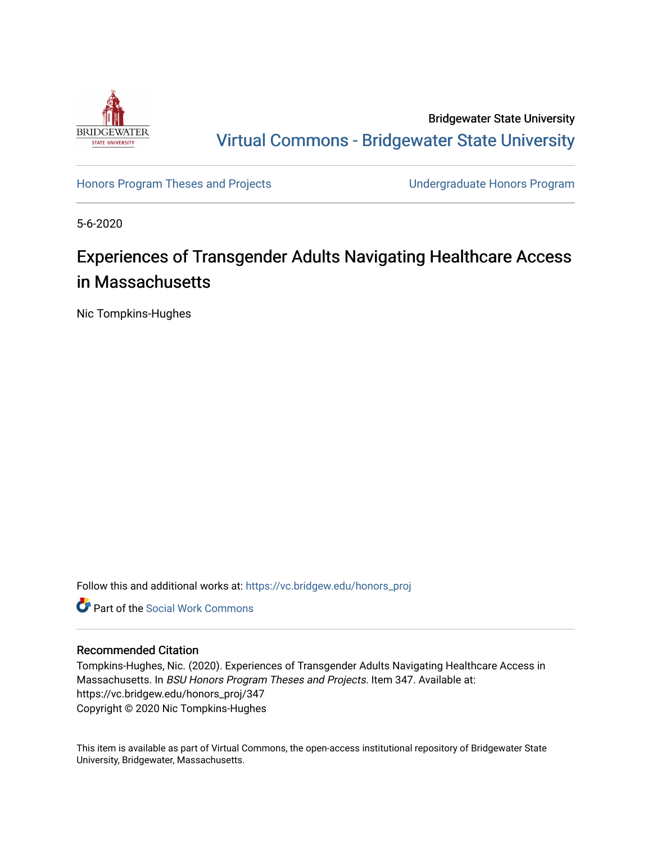

Bridgewater State University [Virtual Commons - Bridgewater State University](https://vc.bridgew.edu/) 

[Honors Program Theses and Projects](https://vc.bridgew.edu/honors_proj) [Undergraduate Honors Program](https://vc.bridgew.edu/honors) 

5-6-2020

# Experiences of Transgender Adults Navigating Healthcare Access in Massachusetts

Nic Tompkins-Hughes

Follow this and additional works at: [https://vc.bridgew.edu/honors\\_proj](https://vc.bridgew.edu/honors_proj?utm_source=vc.bridgew.edu%2Fhonors_proj%2F347&utm_medium=PDF&utm_campaign=PDFCoverPages)



#### Recommended Citation

Tompkins-Hughes, Nic. (2020). Experiences of Transgender Adults Navigating Healthcare Access in Massachusetts. In BSU Honors Program Theses and Projects. Item 347. Available at: https://vc.bridgew.edu/honors\_proj/347 Copyright © 2020 Nic Tompkins-Hughes

This item is available as part of Virtual Commons, the open-access institutional repository of Bridgewater State University, Bridgewater, Massachusetts.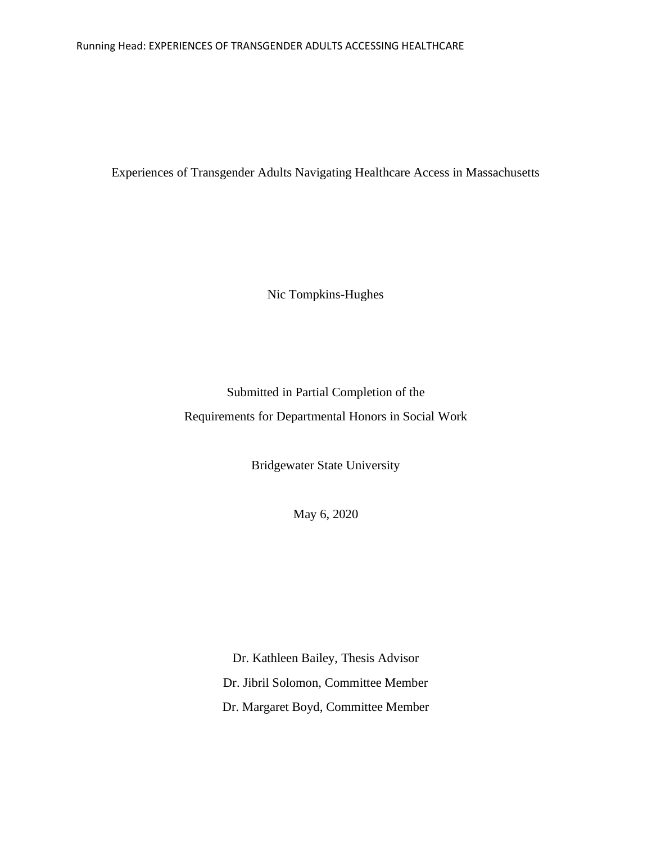#### Running Head: EXPERIENCES OF TRANSGENDER ADULTS ACCESSING HEALTHCARE

Experiences of Transgender Adults Navigating Healthcare Access in Massachusetts

Nic Tompkins-Hughes

Submitted in Partial Completion of the Requirements for Departmental Honors in Social Work

Bridgewater State University

May 6, 2020

Dr. Kathleen Bailey, Thesis Advisor Dr. Jibril Solomon, Committee Member Dr. Margaret Boyd, Committee Member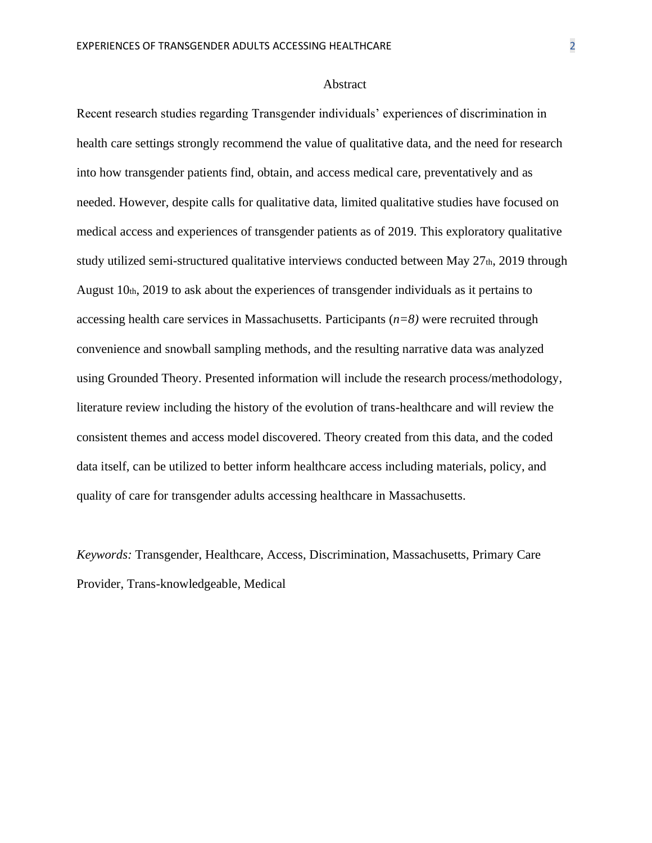#### Abstract

Recent research studies regarding Transgender individuals' experiences of discrimination in health care settings strongly recommend the value of qualitative data, and the need for research into how transgender patients find, obtain, and access medical care, preventatively and as needed. However, despite calls for qualitative data, limited qualitative studies have focused on medical access and experiences of transgender patients as of 2019. This exploratory qualitative study utilized semi-structured qualitative interviews conducted between May  $27<sub>th</sub>$ , 2019 through August 10th, 2019 to ask about the experiences of transgender individuals as it pertains to accessing health care services in Massachusetts. Participants (*n=8)* were recruited through convenience and snowball sampling methods, and the resulting narrative data was analyzed using Grounded Theory. Presented information will include the research process/methodology, literature review including the history of the evolution of trans-healthcare and will review the consistent themes and access model discovered. Theory created from this data, and the coded data itself, can be utilized to better inform healthcare access including materials, policy, and quality of care for transgender adults accessing healthcare in Massachusetts.

*Keywords:* Transgender, Healthcare, Access, Discrimination, Massachusetts, Primary Care Provider, Trans-knowledgeable, Medical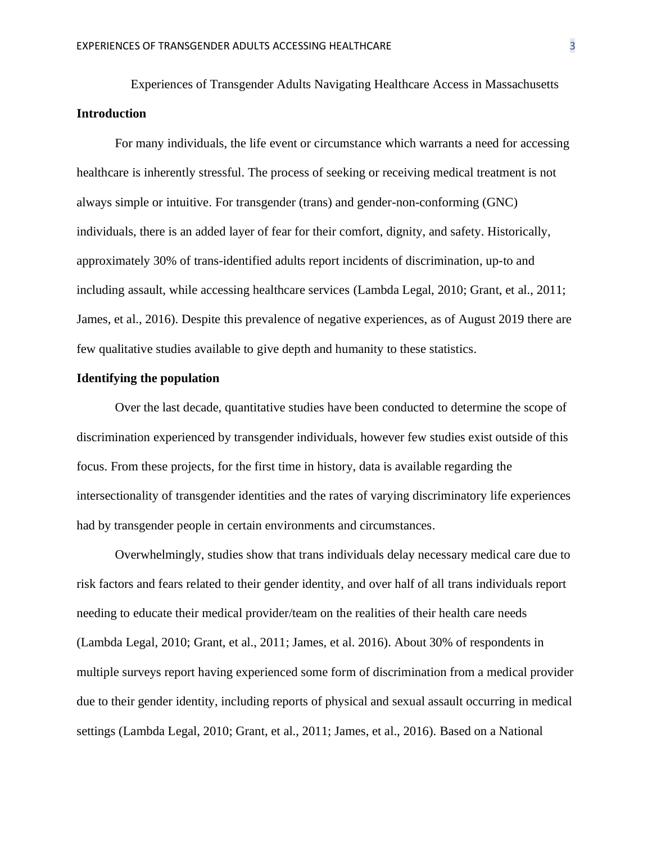Experiences of Transgender Adults Navigating Healthcare Access in Massachusetts **Introduction**

For many individuals, the life event or circumstance which warrants a need for accessing healthcare is inherently stressful. The process of seeking or receiving medical treatment is not always simple or intuitive. For transgender (trans) and gender-non-conforming (GNC) individuals, there is an added layer of fear for their comfort, dignity, and safety. Historically, approximately 30% of trans-identified adults report incidents of discrimination, up-to and including assault, while accessing healthcare services (Lambda Legal, 2010; Grant, et al., 2011; James, et al., 2016). Despite this prevalence of negative experiences, as of August 2019 there are few qualitative studies available to give depth and humanity to these statistics.

#### **Identifying the population**

Over the last decade, quantitative studies have been conducted to determine the scope of discrimination experienced by transgender individuals, however few studies exist outside of this focus. From these projects, for the first time in history, data is available regarding the intersectionality of transgender identities and the rates of varying discriminatory life experiences had by transgender people in certain environments and circumstances.

Overwhelmingly, studies show that trans individuals delay necessary medical care due to risk factors and fears related to their gender identity, and over half of all trans individuals report needing to educate their medical provider/team on the realities of their health care needs (Lambda Legal, 2010; Grant, et al., 2011; James, et al. 2016). About 30% of respondents in multiple surveys report having experienced some form of discrimination from a medical provider due to their gender identity, including reports of physical and sexual assault occurring in medical settings (Lambda Legal, 2010; Grant, et al., 2011; James, et al., 2016). Based on a National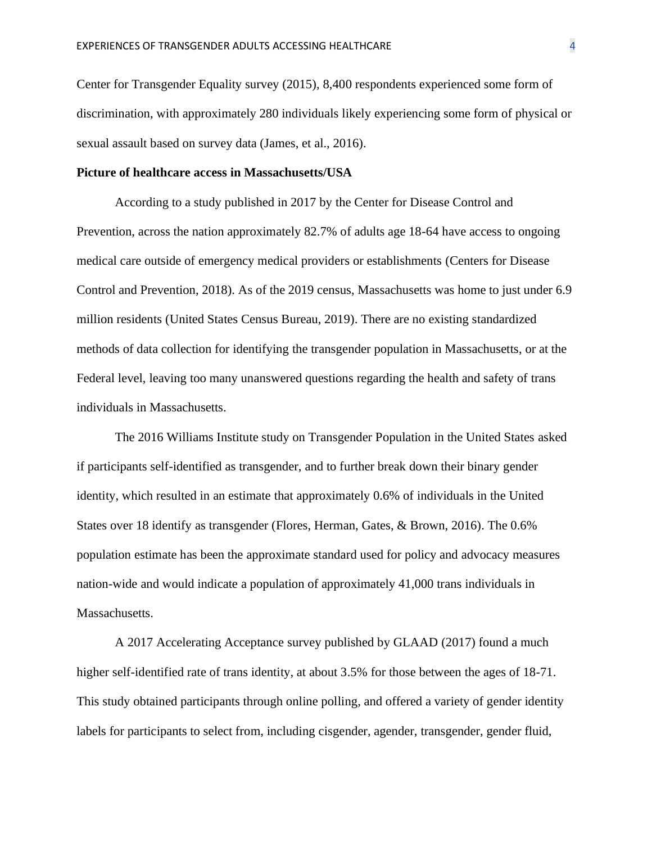Center for Transgender Equality survey (2015), 8,400 respondents experienced some form of discrimination, with approximately 280 individuals likely experiencing some form of physical or sexual assault based on survey data (James, et al., 2016).

#### **Picture of healthcare access in Massachusetts/USA**

According to a study published in 2017 by the Center for Disease Control and Prevention, across the nation approximately 82.7% of adults age 18-64 have access to ongoing medical care outside of emergency medical providers or establishments (Centers for Disease Control and Prevention, 2018). As of the 2019 census, Massachusetts was home to just under 6.9 million residents (United States Census Bureau, 2019). There are no existing standardized methods of data collection for identifying the transgender population in Massachusetts, or at the Federal level, leaving too many unanswered questions regarding the health and safety of trans individuals in Massachusetts.

The 2016 Williams Institute study on Transgender Population in the United States asked if participants self-identified as transgender, and to further break down their binary gender identity, which resulted in an estimate that approximately 0.6% of individuals in the United States over 18 identify as transgender (Flores, Herman, Gates, & Brown, 2016). The 0.6% population estimate has been the approximate standard used for policy and advocacy measures nation-wide and would indicate a population of approximately 41,000 trans individuals in Massachusetts.

A 2017 Accelerating Acceptance survey published by GLAAD (2017) found a much higher self-identified rate of trans identity, at about 3.5% for those between the ages of 18-71. This study obtained participants through online polling, and offered a variety of gender identity labels for participants to select from, including cisgender, agender, transgender, gender fluid,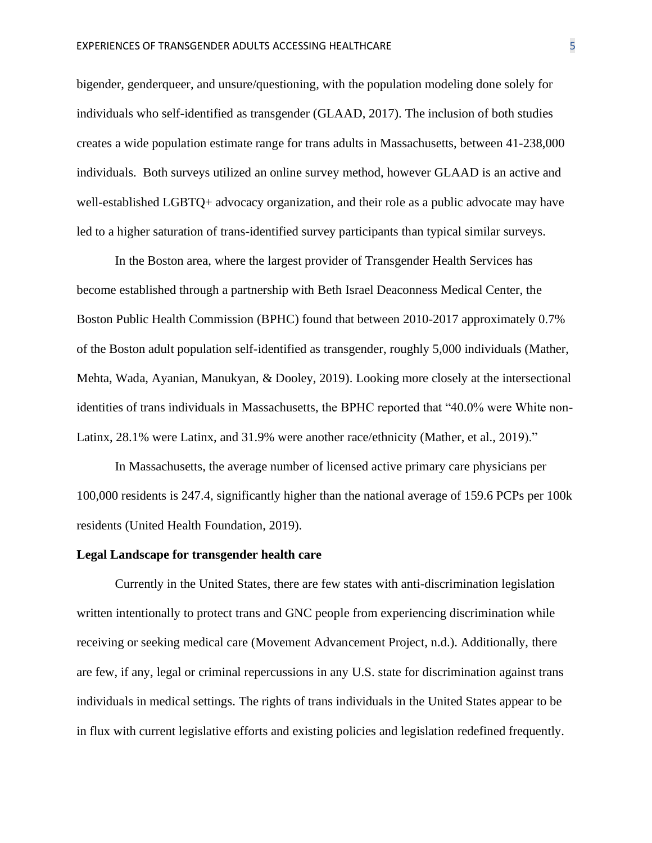bigender, genderqueer, and unsure/questioning, with the population modeling done solely for individuals who self-identified as transgender (GLAAD, 2017). The inclusion of both studies creates a wide population estimate range for trans adults in Massachusetts, between 41-238,000 individuals. Both surveys utilized an online survey method, however GLAAD is an active and well-established LGBTQ+ advocacy organization, and their role as a public advocate may have led to a higher saturation of trans-identified survey participants than typical similar surveys.

In the Boston area, where the largest provider of Transgender Health Services has become established through a partnership with Beth Israel Deaconness Medical Center, the Boston Public Health Commission (BPHC) found that between 2010-2017 approximately 0.7% of the Boston adult population self-identified as transgender, roughly 5,000 individuals (Mather, Mehta, Wada, Ayanian, Manukyan, & Dooley, 2019). Looking more closely at the intersectional identities of trans individuals in Massachusetts, the BPHC reported that "40.0% were White non-Latinx, 28.1% were Latinx, and 31.9% were another race/ethnicity (Mather, et al., 2019)."

In Massachusetts, the average number of licensed active primary care physicians per 100,000 residents is 247.4, significantly higher than the national average of 159.6 PCPs per 100k residents (United Health Foundation, 2019).

#### **Legal Landscape for transgender health care**

Currently in the United States, there are few states with anti-discrimination legislation written intentionally to protect trans and GNC people from experiencing discrimination while receiving or seeking medical care (Movement Advancement Project, n.d.). Additionally, there are few, if any, legal or criminal repercussions in any U.S. state for discrimination against trans individuals in medical settings. The rights of trans individuals in the United States appear to be in flux with current legislative efforts and existing policies and legislation redefined frequently.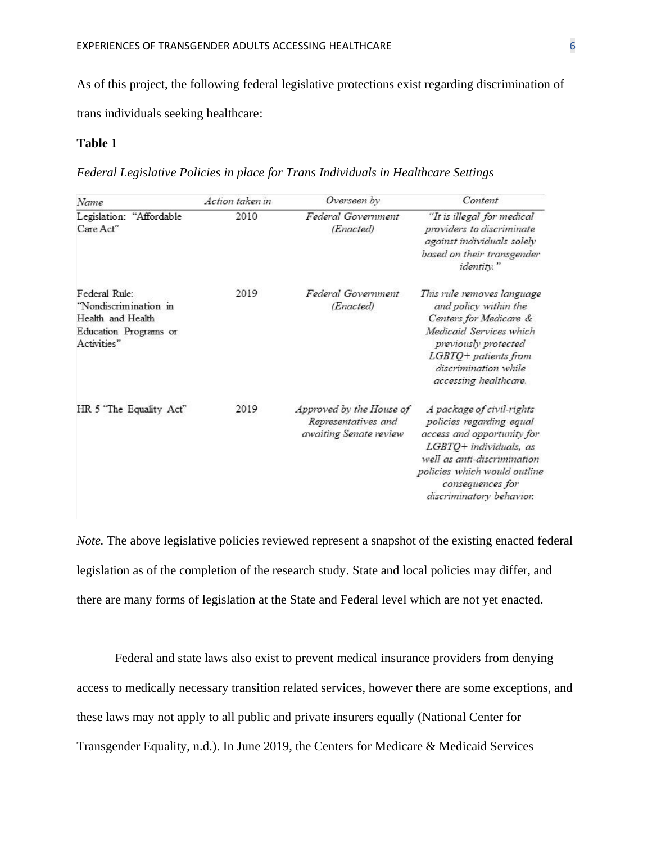As of this project, the following federal legislative protections exist regarding discrimination of

trans individuals seeking healthcare:

## **Table 1**

*Federal Legislative Policies in place for Trans Individuals in Healthcare Settings*

| Name                                                                                                | Action taken in | Overseen by                                                               | Content                                                                                                                                                                                                                      |  |  |
|-----------------------------------------------------------------------------------------------------|-----------------|---------------------------------------------------------------------------|------------------------------------------------------------------------------------------------------------------------------------------------------------------------------------------------------------------------------|--|--|
| Legislation: "Affordable<br>Care Act"                                                               | 2010            | Federal Government<br>(Enacted)                                           | "It is illegal for medical<br>providers to discriminate<br>against individuals solely<br>based on their transgender<br>identity."                                                                                            |  |  |
| Federal Rule:<br>"Nondiscrimination in<br>Health and Health<br>Education Programs or<br>Activities" | 2019            | Federal Government<br>(Enacted)                                           | This rule removes language<br>and policy within the<br>Centers for Medicare &<br>Medicaid Services which<br>previously protected<br>$LGBTQ+$ patients from<br>discrimination while<br>accessing healthcare.                  |  |  |
| HR 5 "The Equality Act"                                                                             | 2019            | Approved by the House of<br>Representatives and<br>awaiting Senate review | A package of civil-rights<br>policies regarding equal<br>access and opportunity for<br>LGBTQ+ individuals, as<br>well as anti-discrimination<br>policies which would outline<br>consequences for<br>discriminatory behavior. |  |  |

*Note*. The above legislative policies reviewed represent a snapshot of the existing enacted federal legislation as of the completion of the research study. State and local policies may differ, and there are many forms of legislation at the State and Federal level which are not yet enacted.

Federal and state laws also exist to prevent medical insurance providers from denying access to medically necessary transition related services, however there are some exceptions, and these laws may not apply to all public and private insurers equally (National Center for Transgender Equality, n.d.). In June 2019, the Centers for Medicare & Medicaid Services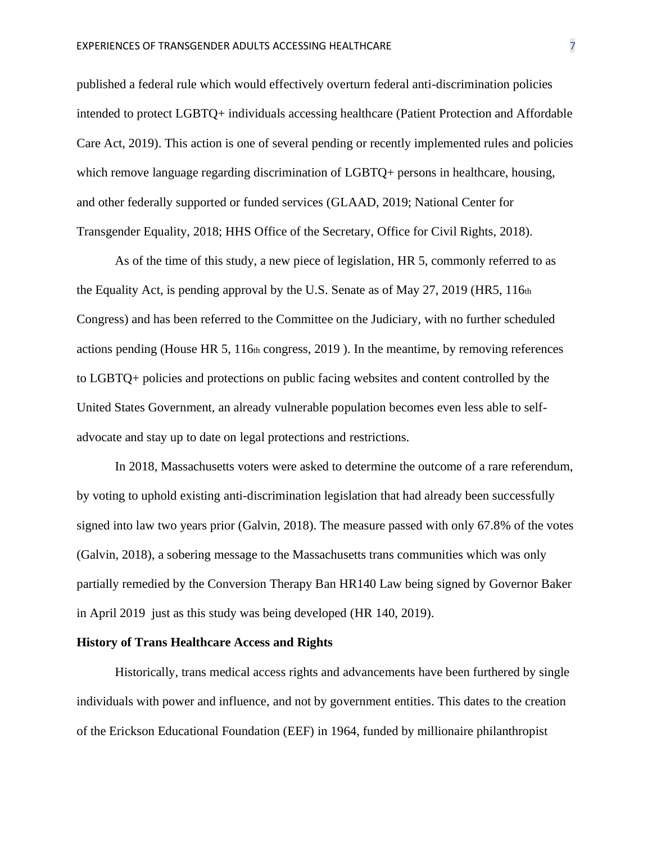published a federal rule which would effectively overturn federal anti-discrimination policies intended to protect LGBTQ+ individuals accessing healthcare (Patient Protection and Affordable Care Act, 2019). This action is one of several pending or recently implemented rules and policies which remove language regarding discrimination of LGBTQ+ persons in healthcare, housing, and other federally supported or funded services (GLAAD, 2019; National Center for Transgender Equality, 2018; HHS Office of the Secretary, Office for Civil Rights, 2018).

As of the time of this study, a new piece of legislation, HR 5, commonly referred to as the Equality Act, is pending approval by the U.S. Senate as of May 27, 2019 (HR5, 116th Congress) and has been referred to the Committee on the Judiciary, with no further scheduled actions pending (House HR 5, 116th congress, 2019 ). In the meantime, by removing references to LGBTQ+ policies and protections on public facing websites and content controlled by the United States Government, an already vulnerable population becomes even less able to selfadvocate and stay up to date on legal protections and restrictions.

In 2018, Massachusetts voters were asked to determine the outcome of a rare referendum, by voting to uphold existing anti-discrimination legislation that had already been successfully signed into law two years prior (Galvin, 2018). The measure passed with only 67.8% of the votes (Galvin, 2018), a sobering message to the Massachusetts trans communities which was only partially remedied by the Conversion Therapy Ban HR140 Law being signed by Governor Baker in April 2019 just as this study was being developed (HR 140, 2019).

#### **History of Trans Healthcare Access and Rights**

Historically, trans medical access rights and advancements have been furthered by single individuals with power and influence, and not by government entities. This dates to the creation of the Erickson Educational Foundation (EEF) in 1964, funded by millionaire philanthropist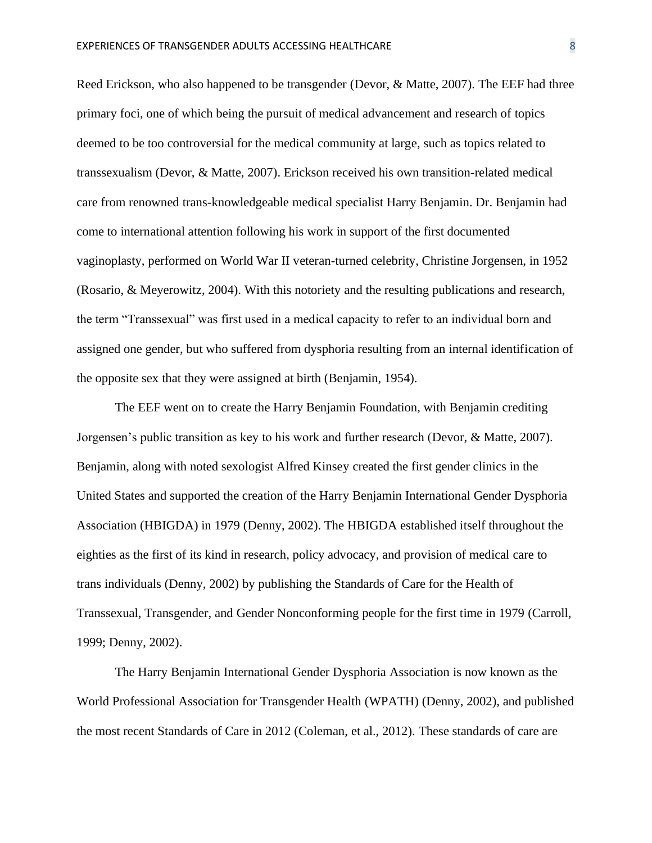Reed Erickson, who also happened to be transgender (Devor, & Matte, 2007). The EEF had three primary foci, one of which being the pursuit of medical advancement and research of topics deemed to be too controversial for the medical community at large, such as topics related to transsexualism (Devor, & Matte, 2007). Erickson received his own transition-related medical care from renowned trans-knowledgeable medical specialist Harry Benjamin. Dr. Benjamin had come to international attention following his work in support of the first documented vaginoplasty, performed on World War II veteran-turned celebrity, Christine Jorgensen, in 1952 (Rosario, & Meyerowitz, 2004). With this notoriety and the resulting publications and research, the term "Transsexual" was first used in a medical capacity to refer to an individual born and assigned one gender, but who suffered from dysphoria resulting from an internal identification of the opposite sex that they were assigned at birth (Benjamin, 1954).

The EEF went on to create the Harry Benjamin Foundation, with Benjamin crediting Jorgensen's public transition as key to his work and further research (Devor, & Matte, 2007). Benjamin, along with noted sexologist Alfred Kinsey created the first gender clinics in the United States and supported the creation of the Harry Benjamin International Gender Dysphoria Association (HBIGDA) in 1979 (Denny, 2002). The HBIGDA established itself throughout the eighties as the first of its kind in research, policy advocacy, and provision of medical care to trans individuals (Denny, 2002) by publishing the Standards of Care for the Health of Transsexual, Transgender, and Gender Nonconforming people for the first time in 1979 (Carroll, 1999; Denny, 2002).

The Harry Benjamin International Gender Dysphoria Association is now known as the World Professional Association for Transgender Health (WPATH) (Denny, 2002), and published the most recent Standards of Care in 2012 (Coleman, et al., 2012). These standards of care are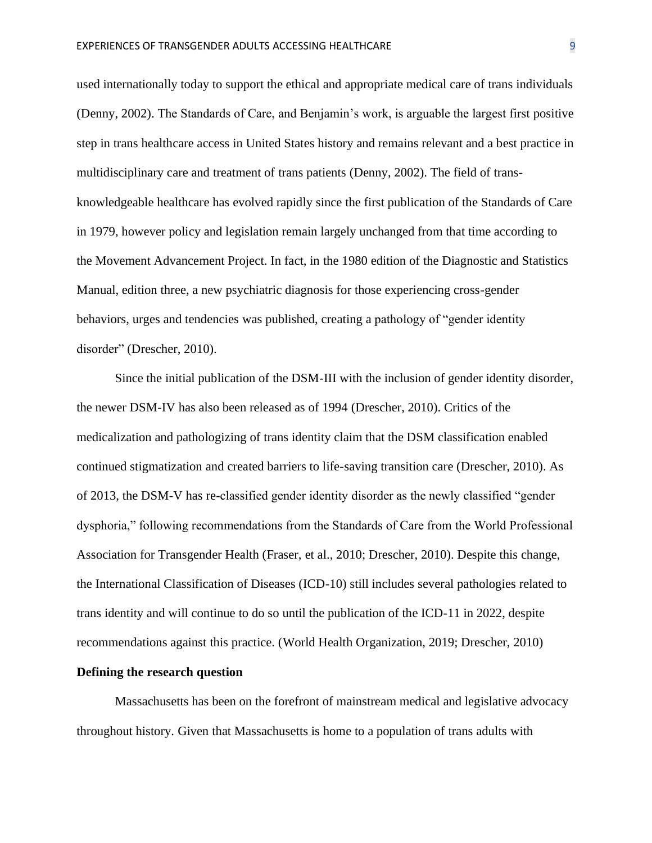used internationally today to support the ethical and appropriate medical care of trans individuals (Denny, 2002). The Standards of Care, and Benjamin's work, is arguable the largest first positive step in trans healthcare access in United States history and remains relevant and a best practice in multidisciplinary care and treatment of trans patients (Denny, 2002). The field of transknowledgeable healthcare has evolved rapidly since the first publication of the Standards of Care in 1979, however policy and legislation remain largely unchanged from that time according to the Movement Advancement Project. In fact, in the 1980 edition of the Diagnostic and Statistics Manual, edition three, a new psychiatric diagnosis for those experiencing cross-gender behaviors, urges and tendencies was published, creating a pathology of "gender identity disorder" (Drescher, 2010).

Since the initial publication of the DSM-III with the inclusion of gender identity disorder, the newer DSM-IV has also been released as of 1994 (Drescher, 2010). Critics of the medicalization and pathologizing of trans identity claim that the DSM classification enabled continued stigmatization and created barriers to life-saving transition care (Drescher, 2010). As of 2013, the DSM-V has re-classified gender identity disorder as the newly classified "gender dysphoria," following recommendations from the Standards of Care from the World Professional Association for Transgender Health (Fraser, et al., 2010; Drescher, 2010). Despite this change, the International Classification of Diseases (ICD-10) still includes several pathologies related to trans identity and will continue to do so until the publication of the ICD-11 in 2022, despite recommendations against this practice. (World Health Organization, 2019; Drescher, 2010)

#### **Defining the research question**

Massachusetts has been on the forefront of mainstream medical and legislative advocacy throughout history. Given that Massachusetts is home to a population of trans adults with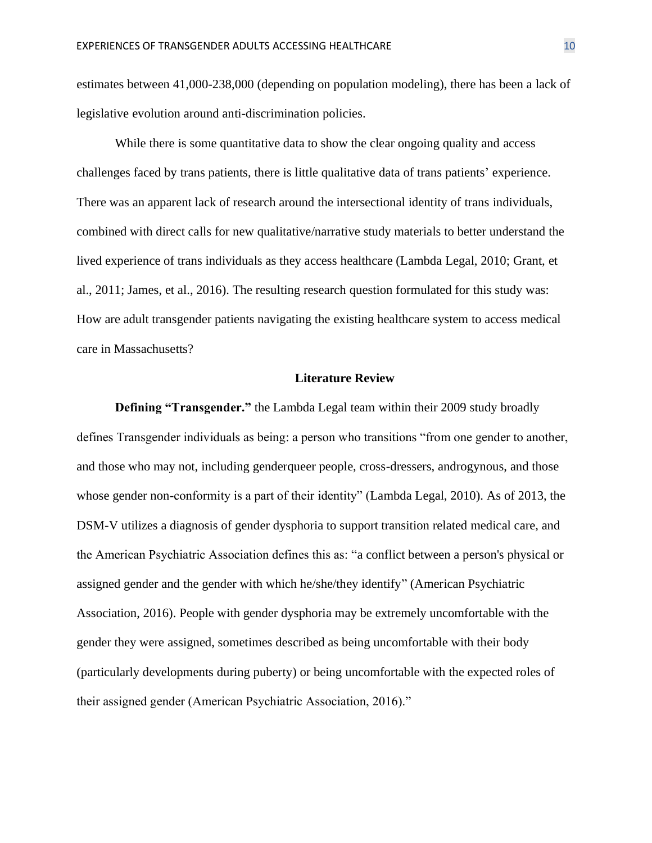estimates between 41,000-238,000 (depending on population modeling), there has been a lack of legislative evolution around anti-discrimination policies.

While there is some quantitative data to show the clear ongoing quality and access challenges faced by trans patients, there is little qualitative data of trans patients' experience. There was an apparent lack of research around the intersectional identity of trans individuals, combined with direct calls for new qualitative/narrative study materials to better understand the lived experience of trans individuals as they access healthcare (Lambda Legal, 2010; Grant, et al., 2011; James, et al., 2016). The resulting research question formulated for this study was: How are adult transgender patients navigating the existing healthcare system to access medical care in Massachusetts?

#### **Literature Review**

**Defining "Transgender."** the Lambda Legal team within their 2009 study broadly defines Transgender individuals as being: a person who transitions "from one gender to another, and those who may not, including genderqueer people, cross-dressers, androgynous, and those whose gender non-conformity is a part of their identity" (Lambda Legal, 2010). As of 2013, the DSM-V utilizes a diagnosis of gender dysphoria to support transition related medical care, and the American Psychiatric Association defines this as: "a conflict between a person's physical or assigned gender and the gender with which he/she/they identify" (American Psychiatric Association, 2016). People with gender dysphoria may be extremely uncomfortable with the gender they were assigned, sometimes described as being uncomfortable with their body (particularly developments during puberty) or being uncomfortable with the expected roles of their assigned gender (American Psychiatric Association, 2016)."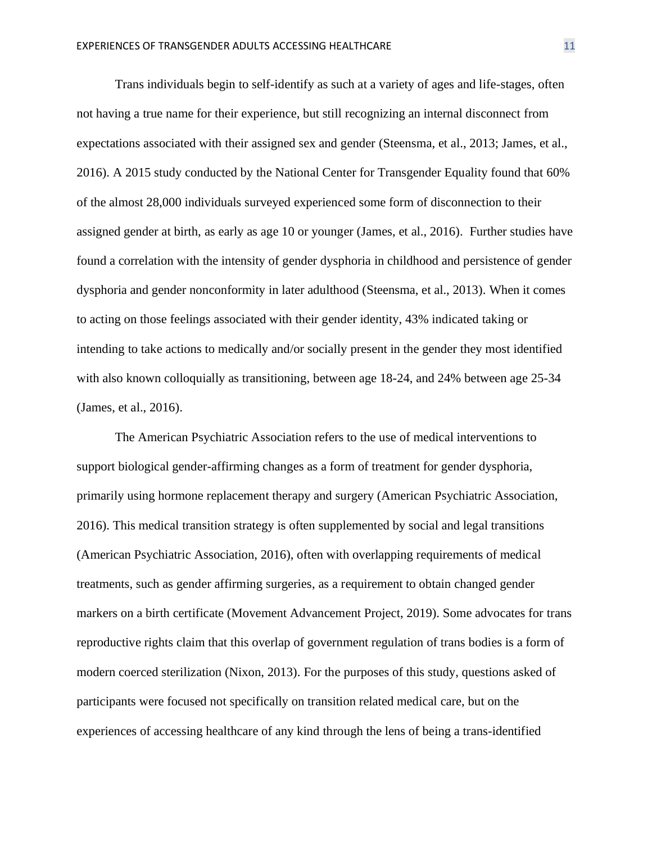Trans individuals begin to self-identify as such at a variety of ages and life-stages, often not having a true name for their experience, but still recognizing an internal disconnect from expectations associated with their assigned sex and gender (Steensma, et al., 2013; James, et al., 2016). A 2015 study conducted by the National Center for Transgender Equality found that 60% of the almost 28,000 individuals surveyed experienced some form of disconnection to their assigned gender at birth, as early as age 10 or younger (James, et al., 2016). Further studies have found a correlation with the intensity of gender dysphoria in childhood and persistence of gender dysphoria and gender nonconformity in later adulthood (Steensma, et al., 2013). When it comes to acting on those feelings associated with their gender identity, 43% indicated taking or intending to take actions to medically and/or socially present in the gender they most identified with also known colloquially as transitioning, between age 18-24, and 24% between age 25-34 (James, et al., 2016).

The American Psychiatric Association refers to the use of medical interventions to support biological gender-affirming changes as a form of treatment for gender dysphoria, primarily using hormone replacement therapy and surgery (American Psychiatric Association, 2016). This medical transition strategy is often supplemented by social and legal transitions (American Psychiatric Association, 2016), often with overlapping requirements of medical treatments, such as gender affirming surgeries, as a requirement to obtain changed gender markers on a birth certificate (Movement Advancement Project, 2019). Some advocates for trans reproductive rights claim that this overlap of government regulation of trans bodies is a form of modern coerced sterilization (Nixon, 2013). For the purposes of this study, questions asked of participants were focused not specifically on transition related medical care, but on the experiences of accessing healthcare of any kind through the lens of being a trans-identified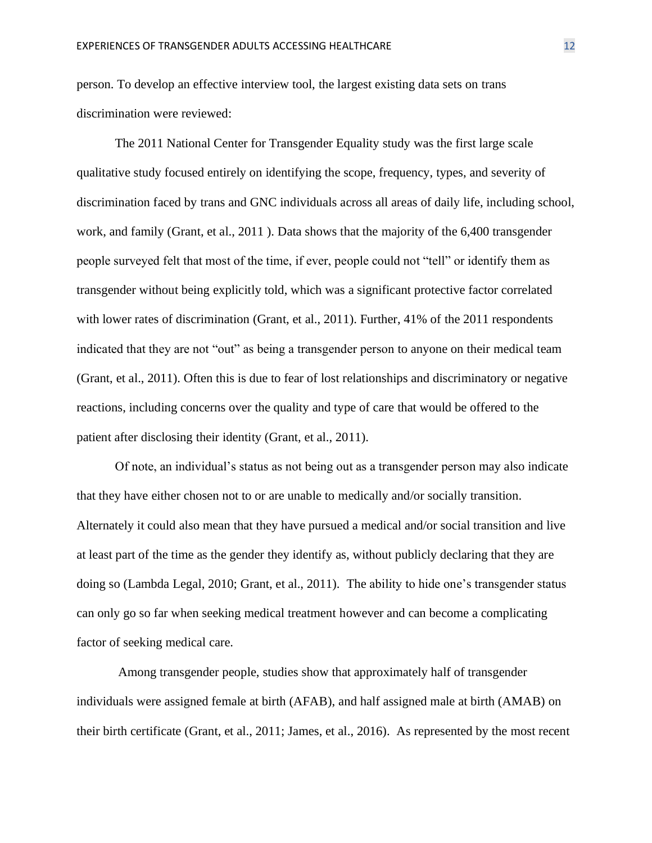person. To develop an effective interview tool, the largest existing data sets on trans discrimination were reviewed:

The 2011 National Center for Transgender Equality study was the first large scale qualitative study focused entirely on identifying the scope, frequency, types, and severity of discrimination faced by trans and GNC individuals across all areas of daily life, including school, work, and family (Grant, et al., 2011 ). Data shows that the majority of the 6,400 transgender people surveyed felt that most of the time, if ever, people could not "tell" or identify them as transgender without being explicitly told, which was a significant protective factor correlated with lower rates of discrimination (Grant, et al., 2011). Further, 41% of the 2011 respondents indicated that they are not "out" as being a transgender person to anyone on their medical team (Grant, et al., 2011). Often this is due to fear of lost relationships and discriminatory or negative reactions, including concerns over the quality and type of care that would be offered to the patient after disclosing their identity (Grant, et al., 2011).

Of note, an individual's status as not being out as a transgender person may also indicate that they have either chosen not to or are unable to medically and/or socially transition. Alternately it could also mean that they have pursued a medical and/or social transition and live at least part of the time as the gender they identify as, without publicly declaring that they are doing so (Lambda Legal, 2010; Grant, et al., 2011). The ability to hide one's transgender status can only go so far when seeking medical treatment however and can become a complicating factor of seeking medical care.

Among transgender people, studies show that approximately half of transgender individuals were assigned female at birth (AFAB), and half assigned male at birth (AMAB) on their birth certificate (Grant, et al., 2011; James, et al., 2016). As represented by the most recent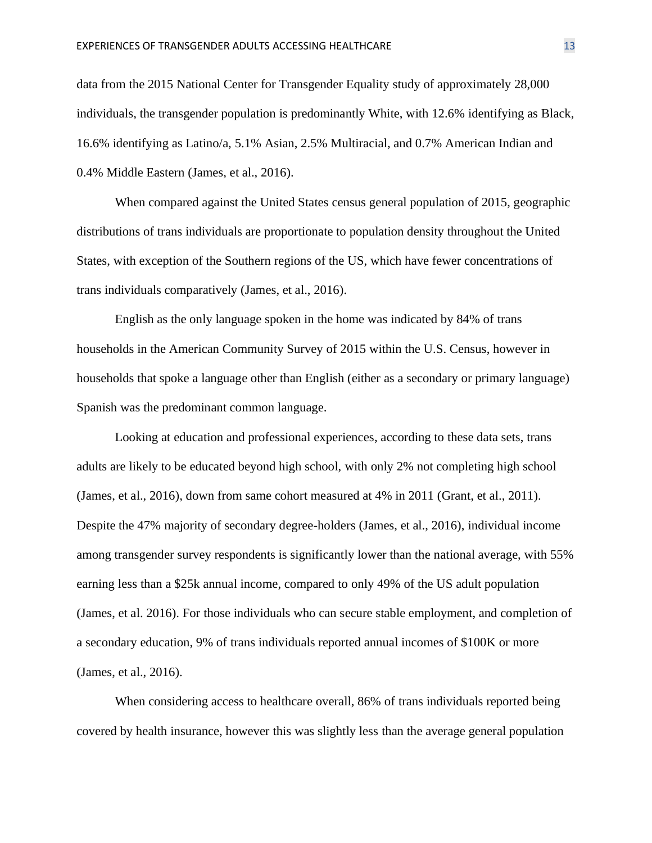data from the 2015 National Center for Transgender Equality study of approximately 28,000 individuals, the transgender population is predominantly White, with 12.6% identifying as Black, 16.6% identifying as Latino/a, 5.1% Asian, 2.5% Multiracial, and 0.7% American Indian and 0.4% Middle Eastern (James, et al., 2016).

When compared against the United States census general population of 2015, geographic distributions of trans individuals are proportionate to population density throughout the United States, with exception of the Southern regions of the US, which have fewer concentrations of trans individuals comparatively (James, et al., 2016).

English as the only language spoken in the home was indicated by 84% of trans households in the American Community Survey of 2015 within the U.S. Census, however in households that spoke a language other than English (either as a secondary or primary language) Spanish was the predominant common language.

Looking at education and professional experiences, according to these data sets, trans adults are likely to be educated beyond high school, with only 2% not completing high school (James, et al., 2016), down from same cohort measured at 4% in 2011 (Grant, et al., 2011). Despite the 47% majority of secondary degree-holders (James, et al., 2016), individual income among transgender survey respondents is significantly lower than the national average, with 55% earning less than a \$25k annual income, compared to only 49% of the US adult population (James, et al. 2016). For those individuals who can secure stable employment, and completion of a secondary education, 9% of trans individuals reported annual incomes of \$100K or more (James, et al., 2016).

When considering access to healthcare overall, 86% of trans individuals reported being covered by health insurance, however this was slightly less than the average general population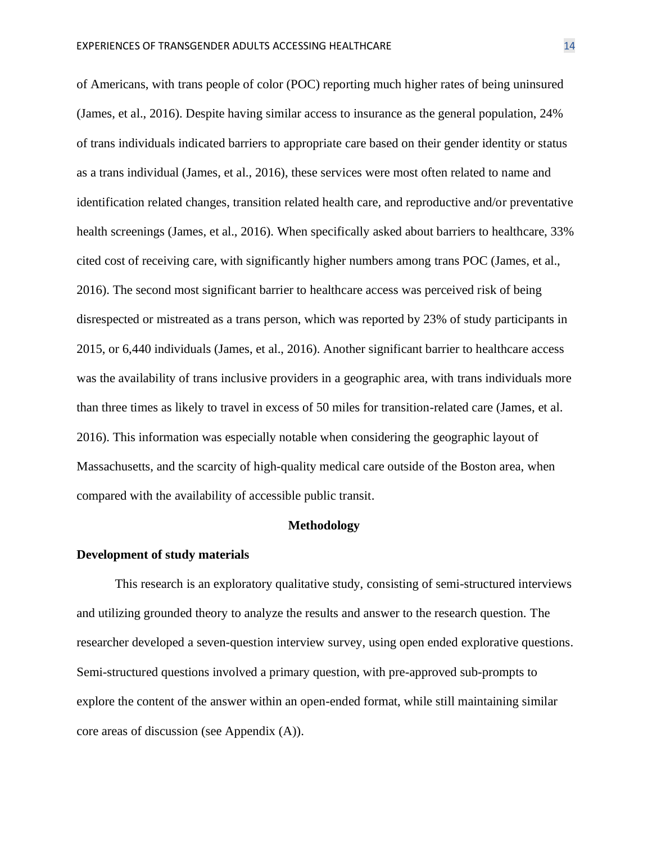of Americans, with trans people of color (POC) reporting much higher rates of being uninsured (James, et al., 2016). Despite having similar access to insurance as the general population, 24% of trans individuals indicated barriers to appropriate care based on their gender identity or status as a trans individual (James, et al., 2016), these services were most often related to name and identification related changes, transition related health care, and reproductive and/or preventative health screenings (James, et al., 2016). When specifically asked about barriers to healthcare, 33% cited cost of receiving care, with significantly higher numbers among trans POC (James, et al., 2016). The second most significant barrier to healthcare access was perceived risk of being disrespected or mistreated as a trans person, which was reported by 23% of study participants in 2015, or 6,440 individuals (James, et al., 2016). Another significant barrier to healthcare access was the availability of trans inclusive providers in a geographic area, with trans individuals more than three times as likely to travel in excess of 50 miles for transition-related care (James, et al. 2016). This information was especially notable when considering the geographic layout of Massachusetts, and the scarcity of high-quality medical care outside of the Boston area, when compared with the availability of accessible public transit.

#### **Methodology**

#### **Development of study materials**

This research is an exploratory qualitative study, consisting of semi-structured interviews and utilizing grounded theory to analyze the results and answer to the research question. The researcher developed a seven-question interview survey, using open ended explorative questions. Semi-structured questions involved a primary question, with pre-approved sub-prompts to explore the content of the answer within an open-ended format, while still maintaining similar core areas of discussion (see Appendix (A)).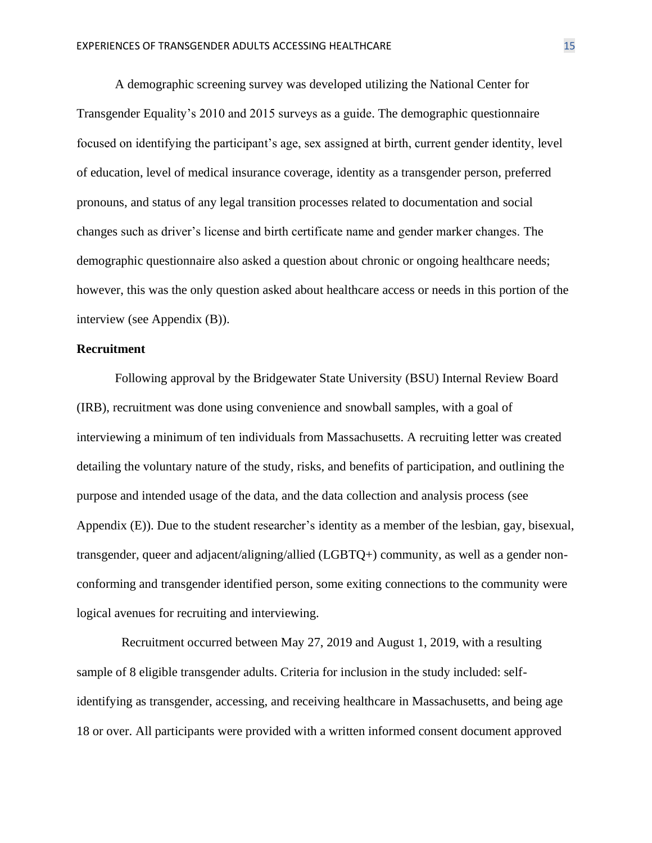A demographic screening survey was developed utilizing the National Center for Transgender Equality's 2010 and 2015 surveys as a guide. The demographic questionnaire focused on identifying the participant's age, sex assigned at birth, current gender identity, level of education, level of medical insurance coverage, identity as a transgender person, preferred pronouns, and status of any legal transition processes related to documentation and social changes such as driver's license and birth certificate name and gender marker changes. The demographic questionnaire also asked a question about chronic or ongoing healthcare needs; however, this was the only question asked about healthcare access or needs in this portion of the interview (see Appendix (B)).

#### **Recruitment**

Following approval by the Bridgewater State University (BSU) Internal Review Board (IRB), recruitment was done using convenience and snowball samples, with a goal of interviewing a minimum of ten individuals from Massachusetts. A recruiting letter was created detailing the voluntary nature of the study, risks, and benefits of participation, and outlining the purpose and intended usage of the data, and the data collection and analysis process (see Appendix (E)). Due to the student researcher's identity as a member of the lesbian, gay, bisexual, transgender, queer and adjacent/aligning/allied (LGBTQ+) community, as well as a gender nonconforming and transgender identified person, some exiting connections to the community were logical avenues for recruiting and interviewing.

 Recruitment occurred between May 27, 2019 and August 1, 2019, with a resulting sample of 8 eligible transgender adults. Criteria for inclusion in the study included: selfidentifying as transgender, accessing, and receiving healthcare in Massachusetts, and being age 18 or over. All participants were provided with a written informed consent document approved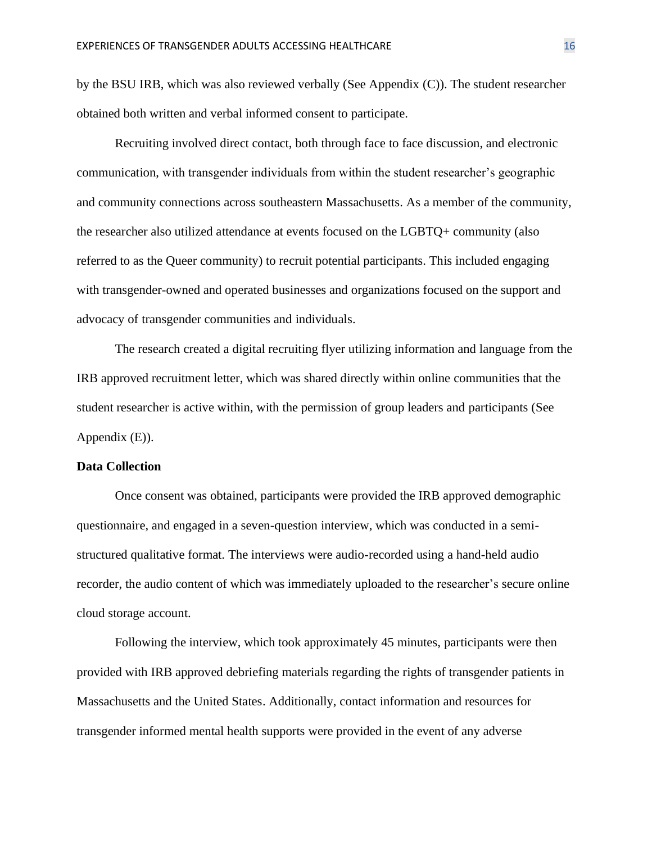by the BSU IRB, which was also reviewed verbally (See Appendix (C)). The student researcher obtained both written and verbal informed consent to participate.

Recruiting involved direct contact, both through face to face discussion, and electronic communication, with transgender individuals from within the student researcher's geographic and community connections across southeastern Massachusetts. As a member of the community, the researcher also utilized attendance at events focused on the LGBTQ+ community (also referred to as the Queer community) to recruit potential participants. This included engaging with transgender-owned and operated businesses and organizations focused on the support and advocacy of transgender communities and individuals.

The research created a digital recruiting flyer utilizing information and language from the IRB approved recruitment letter, which was shared directly within online communities that the student researcher is active within, with the permission of group leaders and participants (See Appendix (E)).

#### **Data Collection**

Once consent was obtained, participants were provided the IRB approved demographic questionnaire, and engaged in a seven-question interview, which was conducted in a semistructured qualitative format. The interviews were audio-recorded using a hand-held audio recorder, the audio content of which was immediately uploaded to the researcher's secure online cloud storage account.

Following the interview, which took approximately 45 minutes, participants were then provided with IRB approved debriefing materials regarding the rights of transgender patients in Massachusetts and the United States. Additionally, contact information and resources for transgender informed mental health supports were provided in the event of any adverse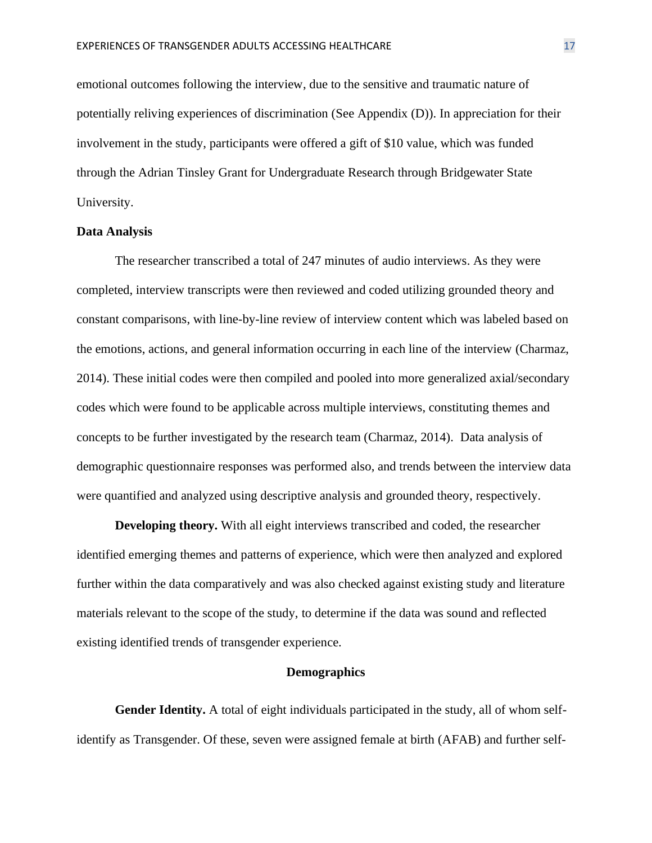emotional outcomes following the interview, due to the sensitive and traumatic nature of potentially reliving experiences of discrimination (See Appendix (D)). In appreciation for their involvement in the study, participants were offered a gift of \$10 value, which was funded through the Adrian Tinsley Grant for Undergraduate Research through Bridgewater State University.

#### **Data Analysis**

The researcher transcribed a total of 247 minutes of audio interviews. As they were completed, interview transcripts were then reviewed and coded utilizing grounded theory and constant comparisons, with line-by-line review of interview content which was labeled based on the emotions, actions, and general information occurring in each line of the interview (Charmaz, 2014). These initial codes were then compiled and pooled into more generalized axial/secondary codes which were found to be applicable across multiple interviews, constituting themes and concepts to be further investigated by the research team (Charmaz, 2014). Data analysis of demographic questionnaire responses was performed also, and trends between the interview data were quantified and analyzed using descriptive analysis and grounded theory, respectively.

**Developing theory.** With all eight interviews transcribed and coded, the researcher identified emerging themes and patterns of experience, which were then analyzed and explored further within the data comparatively and was also checked against existing study and literature materials relevant to the scope of the study, to determine if the data was sound and reflected existing identified trends of transgender experience.

#### **Demographics**

**Gender Identity.** A total of eight individuals participated in the study, all of whom selfidentify as Transgender. Of these, seven were assigned female at birth (AFAB) and further self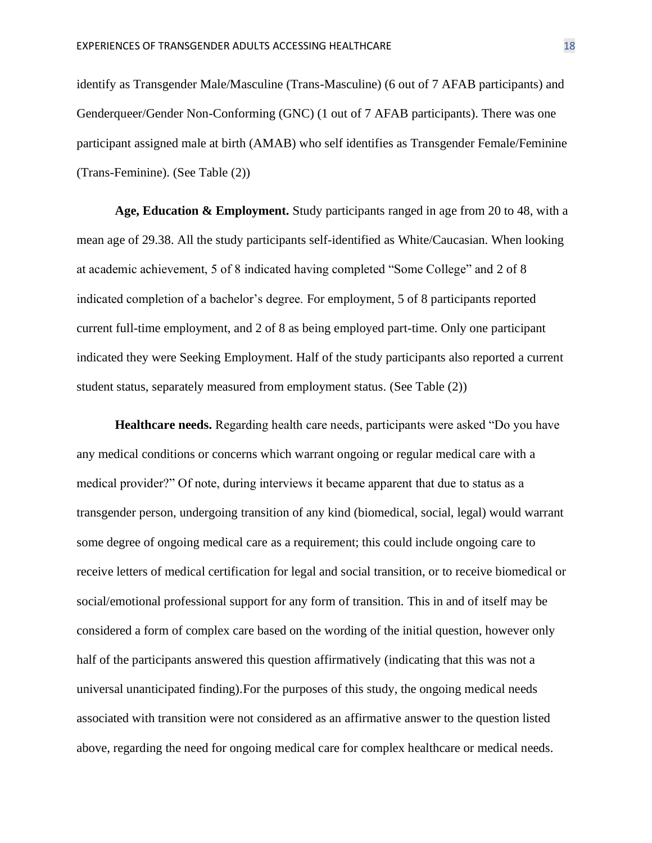identify as Transgender Male/Masculine (Trans-Masculine) (6 out of 7 AFAB participants) and Genderqueer/Gender Non-Conforming (GNC) (1 out of 7 AFAB participants). There was one participant assigned male at birth (AMAB) who self identifies as Transgender Female/Feminine (Trans-Feminine). (See Table (2))

**Age, Education & Employment.** Study participants ranged in age from 20 to 48, with a mean age of 29.38. All the study participants self-identified as White/Caucasian. When looking at academic achievement, 5 of 8 indicated having completed "Some College" and 2 of 8 indicated completion of a bachelor's degree. For employment, 5 of 8 participants reported current full-time employment, and 2 of 8 as being employed part-time. Only one participant indicated they were Seeking Employment. Half of the study participants also reported a current student status, separately measured from employment status. (See Table (2))

**Healthcare needs.** Regarding health care needs, participants were asked "Do you have any medical conditions or concerns which warrant ongoing or regular medical care with a medical provider?" Of note, during interviews it became apparent that due to status as a transgender person, undergoing transition of any kind (biomedical, social, legal) would warrant some degree of ongoing medical care as a requirement; this could include ongoing care to receive letters of medical certification for legal and social transition, or to receive biomedical or social/emotional professional support for any form of transition. This in and of itself may be considered a form of complex care based on the wording of the initial question, however only half of the participants answered this question affirmatively (indicating that this was not a universal unanticipated finding).For the purposes of this study, the ongoing medical needs associated with transition were not considered as an affirmative answer to the question listed above, regarding the need for ongoing medical care for complex healthcare or medical needs.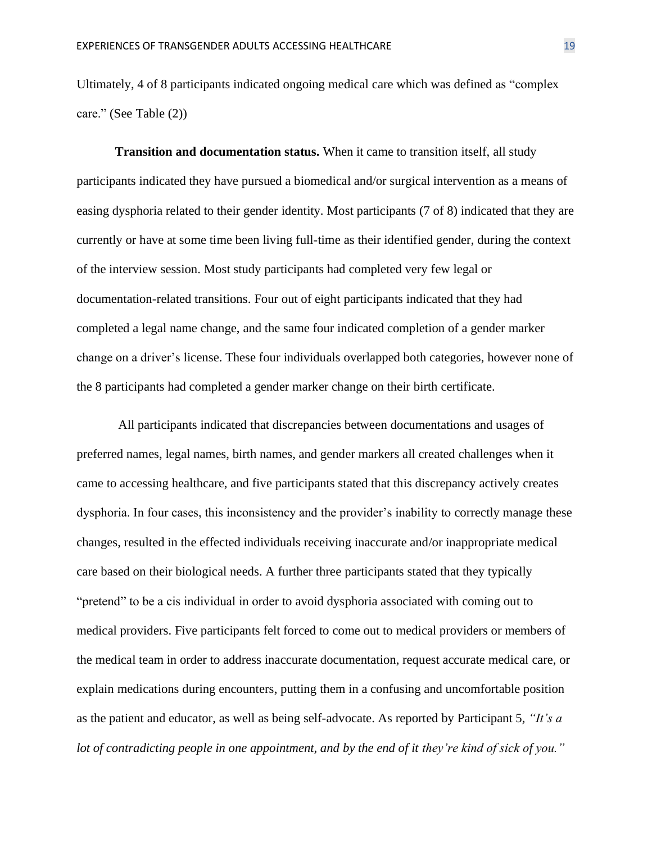Ultimately, 4 of 8 participants indicated ongoing medical care which was defined as "complex care." (See Table (2))

**Transition and documentation status.** When it came to transition itself, all study participants indicated they have pursued a biomedical and/or surgical intervention as a means of easing dysphoria related to their gender identity. Most participants (7 of 8) indicated that they are currently or have at some time been living full-time as their identified gender, during the context of the interview session. Most study participants had completed very few legal or documentation-related transitions. Four out of eight participants indicated that they had completed a legal name change, and the same four indicated completion of a gender marker change on a driver's license. These four individuals overlapped both categories, however none of the 8 participants had completed a gender marker change on their birth certificate.

All participants indicated that discrepancies between documentations and usages of preferred names, legal names, birth names, and gender markers all created challenges when it came to accessing healthcare, and five participants stated that this discrepancy actively creates dysphoria. In four cases, this inconsistency and the provider's inability to correctly manage these changes, resulted in the effected individuals receiving inaccurate and/or inappropriate medical care based on their biological needs. A further three participants stated that they typically "pretend" to be a cis individual in order to avoid dysphoria associated with coming out to medical providers. Five participants felt forced to come out to medical providers or members of the medical team in order to address inaccurate documentation, request accurate medical care, or explain medications during encounters, putting them in a confusing and uncomfortable position as the patient and educator, as well as being self-advocate. As reported by Participant 5*, "It's a lot of contradicting people in one appointment, and by the end of it they're kind of sick of you."*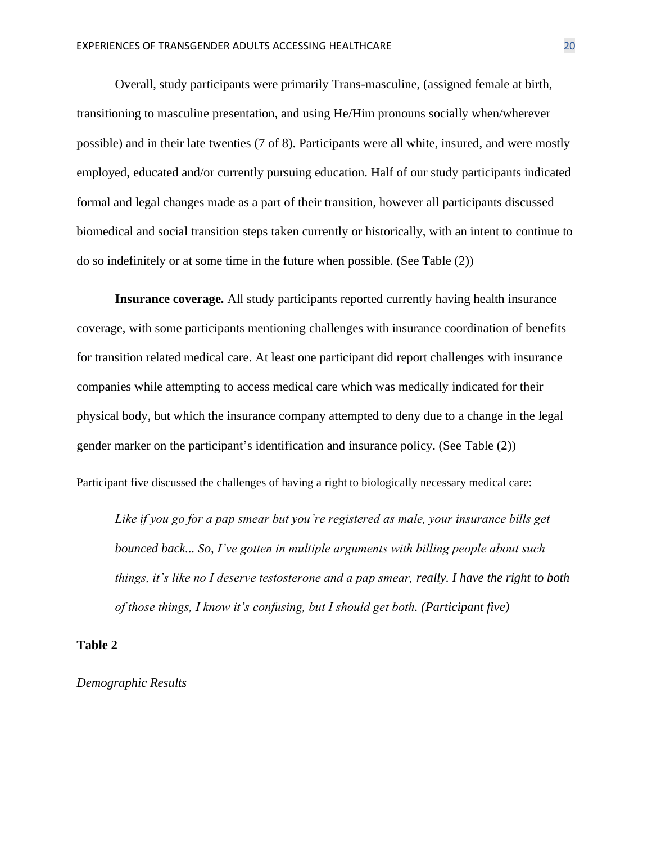Overall, study participants were primarily Trans-masculine, (assigned female at birth, transitioning to masculine presentation, and using He/Him pronouns socially when/wherever possible) and in their late twenties (7 of 8). Participants were all white, insured, and were mostly employed, educated and/or currently pursuing education. Half of our study participants indicated formal and legal changes made as a part of their transition, however all participants discussed biomedical and social transition steps taken currently or historically, with an intent to continue to do so indefinitely or at some time in the future when possible. (See Table (2))

**Insurance coverage.** All study participants reported currently having health insurance coverage, with some participants mentioning challenges with insurance coordination of benefits for transition related medical care. At least one participant did report challenges with insurance companies while attempting to access medical care which was medically indicated for their physical body, but which the insurance company attempted to deny due to a change in the legal gender marker on the participant's identification and insurance policy. (See Table (2))

Participant five discussed the challenges of having a right to biologically necessary medical care:

*Like if you go for a pap smear but you're registered as male, your insurance bills get bounced back... So, I've gotten in multiple arguments with billing people about such things, it's like no I deserve testosterone and a pap smear, really. I have the right to both of those things, I know it's confusing, but I should get both. (Participant five)*

**Table 2**

*Demographic Results*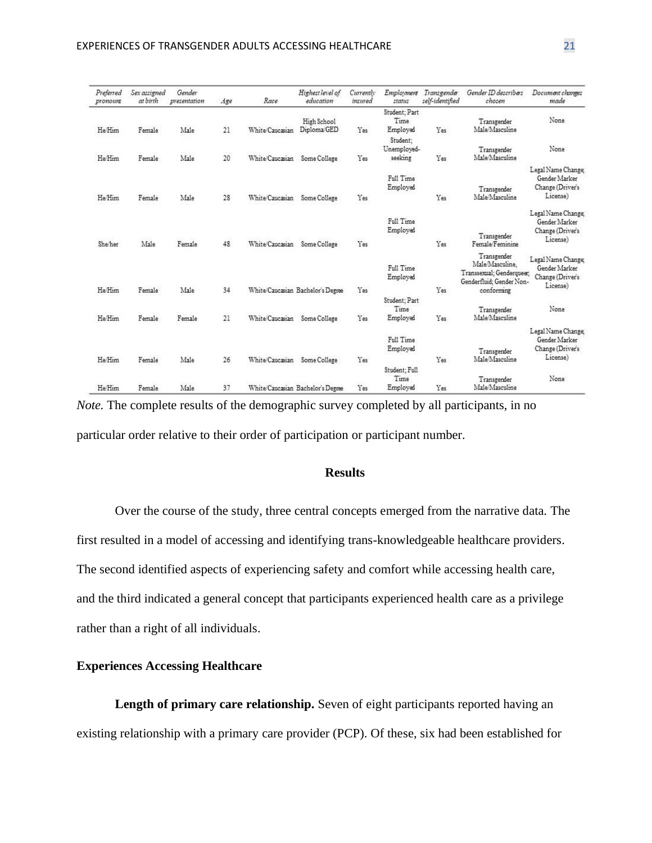| Preferred<br>pronount | Sex assigned<br>at birth | Gender<br>presentation | Age | Race            | Highest level of<br>education     | Currently<br>insured | Employment<br>status                          | Transgender<br>self-identified | Gender ID describers<br>chosen                                                                        | Document changes<br>made                                            |
|-----------------------|--------------------------|------------------------|-----|-----------------|-----------------------------------|----------------------|-----------------------------------------------|--------------------------------|-------------------------------------------------------------------------------------------------------|---------------------------------------------------------------------|
| He Him                | Female                   | Male                   | 21  | White/Caucasian | High School<br>Diploma/GED        | Yes                  | Student: Part<br>Time<br>Employed<br>Student: | Yes                            | Transgender<br>Male/Masculine                                                                         | None                                                                |
| He/Him                | Female                   | Male                   | 20  | White/Caucasian | Some College                      | Yes                  | Unemployed-<br>seeking                        | Yes                            | Transgender<br>Male/Masculine                                                                         | None                                                                |
| He Him                | Female                   | Male                   | 28  | White/Caucasian | Some College                      | Yes                  | Full Time<br>Employed                         | Yes                            | Transgender<br>Male/Masculine                                                                         | Legal Name Change;<br>Gender Marker<br>Change (Driver's<br>License) |
| She/her               | Male                     | Female                 | 48  | White/Caucasian | Some College                      | Yes                  | Full Time<br>Employed                         | Yes                            | Transgender<br>Female/Feminine                                                                        | Legal Name Change:<br>Gender Marker<br>Change (Driver's<br>License) |
| He/Him                | Female                   | Male                   | 34  |                 | White/Caucasian Bachelor's Degree | Yes                  | Full Time<br>Employed                         | Yes                            | Transgender<br>Male/Masculine.<br>Transsexual: Genderqueer.<br>Genderfluid: Gender Non-<br>conforming | Legal Name Change<br>Gender Marker<br>Change (Driver's<br>License)  |
| He/Him                | Female                   | Female                 | 21  | White/Caucasian | Some College                      | Yes                  | Student: Part<br>Time<br>Employed             | Yes                            | Transgender<br>Male/Masculine                                                                         | None                                                                |
| He/Him                | Female                   | Male                   | 26  | White/Caucasian | Some College                      | Yes                  | Full Time<br>Employed                         | Yes                            | Transgender<br>Male/Masculine                                                                         | Legal Name Change:<br>Gender Marker<br>Change (Driver's<br>License) |
| He/Him                | Female                   | Male                   | 37  |                 | White/Caucasian Bachelor's Degree | Yes                  | Student; Full<br>Time<br>Employed             | Yes                            | Transgender<br>Male/Masculine                                                                         | None                                                                |

*Note.* The complete results of the demographic survey completed by all participants, in no particular order relative to their order of participation or participant number.

## **Results**

Over the course of the study, three central concepts emerged from the narrative data. The first resulted in a model of accessing and identifying trans-knowledgeable healthcare providers. The second identified aspects of experiencing safety and comfort while accessing health care, and the third indicated a general concept that participants experienced health care as a privilege rather than a right of all individuals.

## **Experiences Accessing Healthcare**

Length of primary care relationship. Seven of eight participants reported having an existing relationship with a primary care provider (PCP). Of these, six had been established for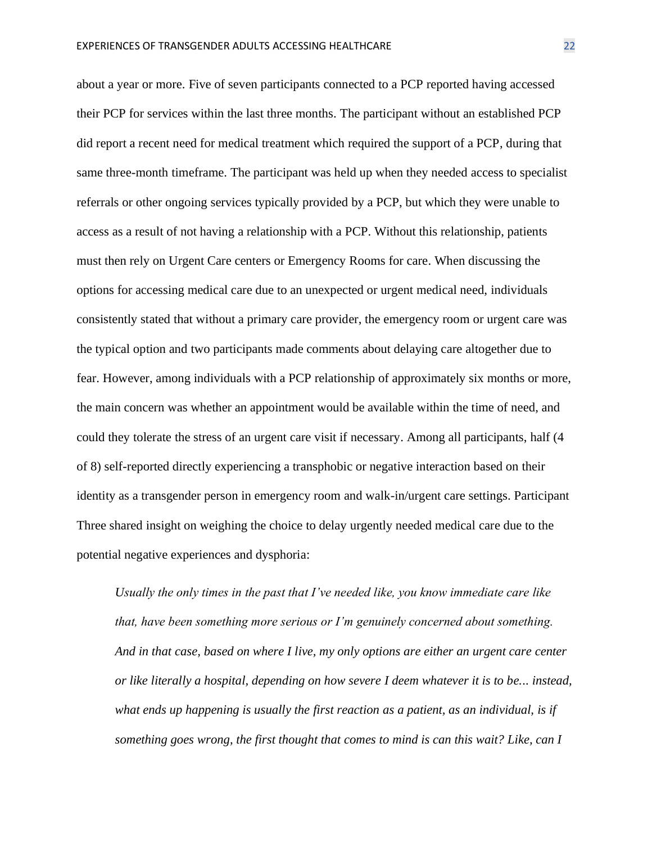about a year or more. Five of seven participants connected to a PCP reported having accessed their PCP for services within the last three months. The participant without an established PCP did report a recent need for medical treatment which required the support of a PCP, during that same three-month timeframe. The participant was held up when they needed access to specialist referrals or other ongoing services typically provided by a PCP, but which they were unable to access as a result of not having a relationship with a PCP. Without this relationship, patients must then rely on Urgent Care centers or Emergency Rooms for care. When discussing the options for accessing medical care due to an unexpected or urgent medical need, individuals consistently stated that without a primary care provider, the emergency room or urgent care was the typical option and two participants made comments about delaying care altogether due to fear. However, among individuals with a PCP relationship of approximately six months or more, the main concern was whether an appointment would be available within the time of need, and could they tolerate the stress of an urgent care visit if necessary. Among all participants, half (4 of 8) self-reported directly experiencing a transphobic or negative interaction based on their identity as a transgender person in emergency room and walk-in/urgent care settings. Participant Three shared insight on weighing the choice to delay urgently needed medical care due to the potential negative experiences and dysphoria:

*Usually the only times in the past that I've needed like, you know immediate care like that, have been something more serious or I'm genuinely concerned about something. And in that case, based on where I live, my only options are either an urgent care center or like literally a hospital, depending on how severe I deem whatever it is to be... instead, what ends up happening is usually the first reaction as a patient, as an individual, is if something goes wrong, the first thought that comes to mind is can this wait? Like, can I*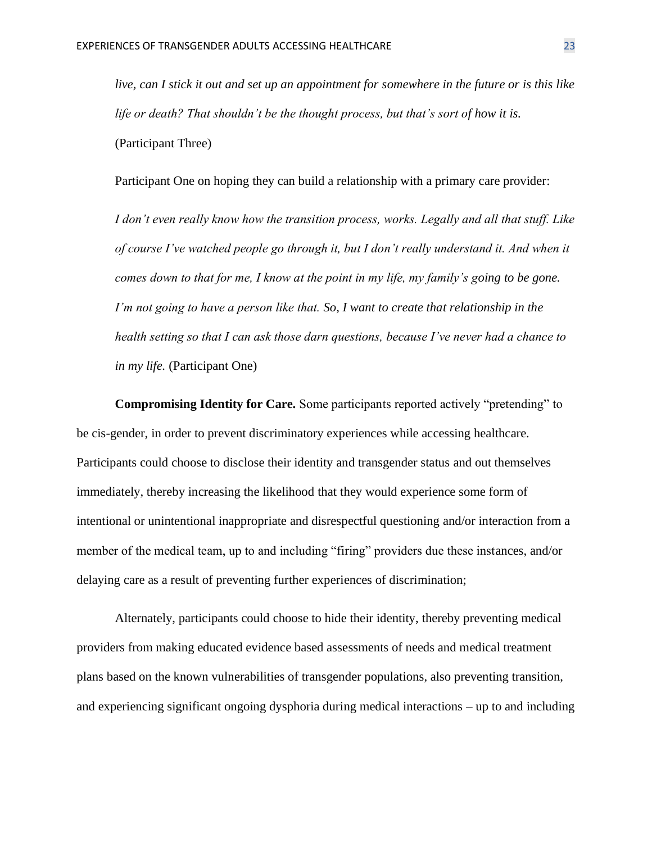*live, can I stick it out and set up an appointment for somewhere in the future or is this like life or death? That shouldn't be the thought process, but that's sort of how it is.* (Participant Three)

Participant One on hoping they can build a relationship with a primary care provider:

*I don't even really know how the transition process, works. Legally and all that stuff. Like of course I've watched people go through it, but I don't really understand it. And when it comes down to that for me, I know at the point in my life, my family's going to be gone. I'm not going to have a person like that. So, I want to create that relationship in the health setting so that I can ask those darn questions, because I've never had a chance to in my life.* (Participant One)

**Compromising Identity for Care.** Some participants reported actively "pretending" to be cis-gender, in order to prevent discriminatory experiences while accessing healthcare. Participants could choose to disclose their identity and transgender status and out themselves immediately, thereby increasing the likelihood that they would experience some form of intentional or unintentional inappropriate and disrespectful questioning and/or interaction from a member of the medical team, up to and including "firing" providers due these instances, and/or delaying care as a result of preventing further experiences of discrimination;

Alternately, participants could choose to hide their identity, thereby preventing medical providers from making educated evidence based assessments of needs and medical treatment plans based on the known vulnerabilities of transgender populations, also preventing transition, and experiencing significant ongoing dysphoria during medical interactions – up to and including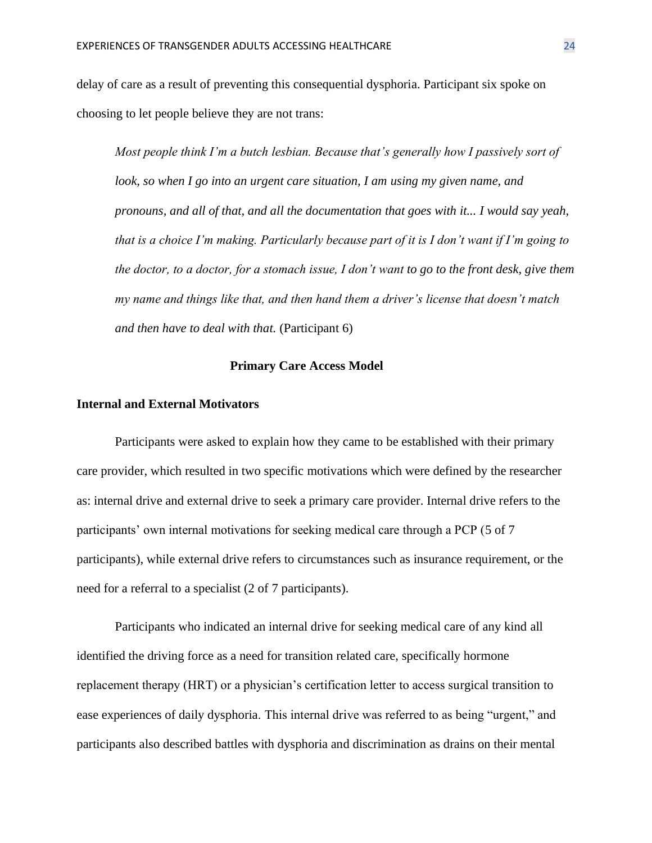delay of care as a result of preventing this consequential dysphoria. Participant six spoke on choosing to let people believe they are not trans:

*Most people think I'm a butch lesbian. Because that's generally how I passively sort of look, so when I go into an urgent care situation, I am using my given name, and pronouns, and all of that, and all the documentation that goes with it... I would say yeah, that is a choice I'm making. Particularly because part of it is I don't want if I'm going to the doctor, to a doctor, for a stomach issue, I don't want to go to the front desk, give them my name and things like that, and then hand them a driver's license that doesn't match and then have to deal with that.* (Participant 6)

#### **Primary Care Access Model**

## **Internal and External Motivators**

Participants were asked to explain how they came to be established with their primary care provider, which resulted in two specific motivations which were defined by the researcher as: internal drive and external drive to seek a primary care provider. Internal drive refers to the participants' own internal motivations for seeking medical care through a PCP (5 of 7 participants), while external drive refers to circumstances such as insurance requirement, or the need for a referral to a specialist (2 of 7 participants).

Participants who indicated an internal drive for seeking medical care of any kind all identified the driving force as a need for transition related care, specifically hormone replacement therapy (HRT) or a physician's certification letter to access surgical transition to ease experiences of daily dysphoria. This internal drive was referred to as being "urgent," and participants also described battles with dysphoria and discrimination as drains on their mental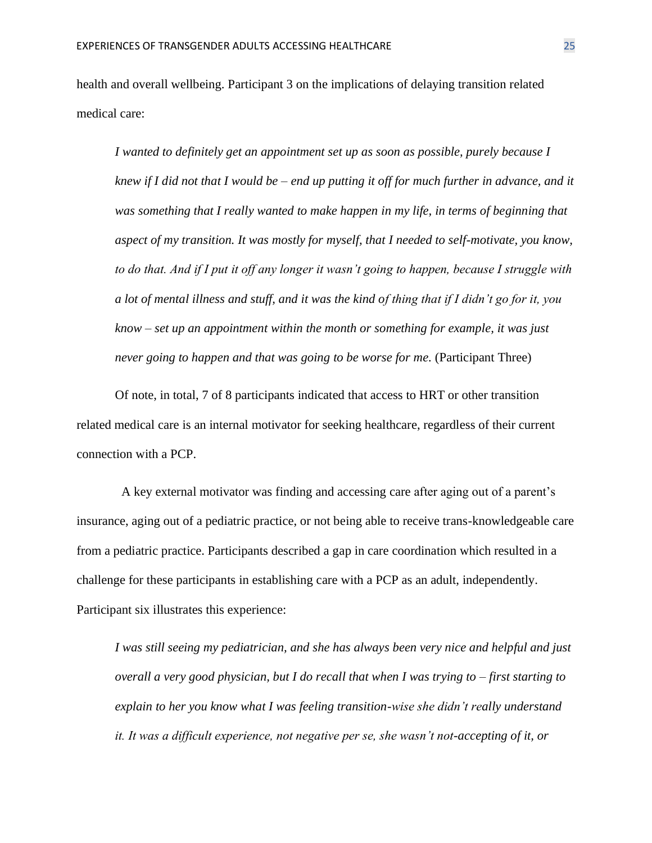health and overall wellbeing. Participant 3 on the implications of delaying transition related medical care:

*I wanted to definitely get an appointment set up as soon as possible, purely because I knew if I did not that I would be – end up putting it off for much further in advance, and it was something that I really wanted to make happen in my life, in terms of beginning that aspect of my transition. It was mostly for myself, that I needed to self-motivate, you know, to do that. And if I put it off any longer it wasn't going to happen, because I struggle with a lot of mental illness and stuff, and it was the kind of thing that if I didn't go for it, you know – set up an appointment within the month or something for example, it was just never going to happen and that was going to be worse for me.* (Participant Three)

Of note, in total, 7 of 8 participants indicated that access to HRT or other transition related medical care is an internal motivator for seeking healthcare, regardless of their current connection with a PCP.

A key external motivator was finding and accessing care after aging out of a parent's insurance, aging out of a pediatric practice, or not being able to receive trans-knowledgeable care from a pediatric practice. Participants described a gap in care coordination which resulted in a challenge for these participants in establishing care with a PCP as an adult, independently. Participant six illustrates this experience:

*I was still seeing my pediatrician, and she has always been very nice and helpful and just overall a very good physician, but I do recall that when I was trying to – first starting to explain to her you know what I was feeling transition-wise she didn't really understand it. It was a difficult experience, not negative per se, she wasn't not-accepting of it, or*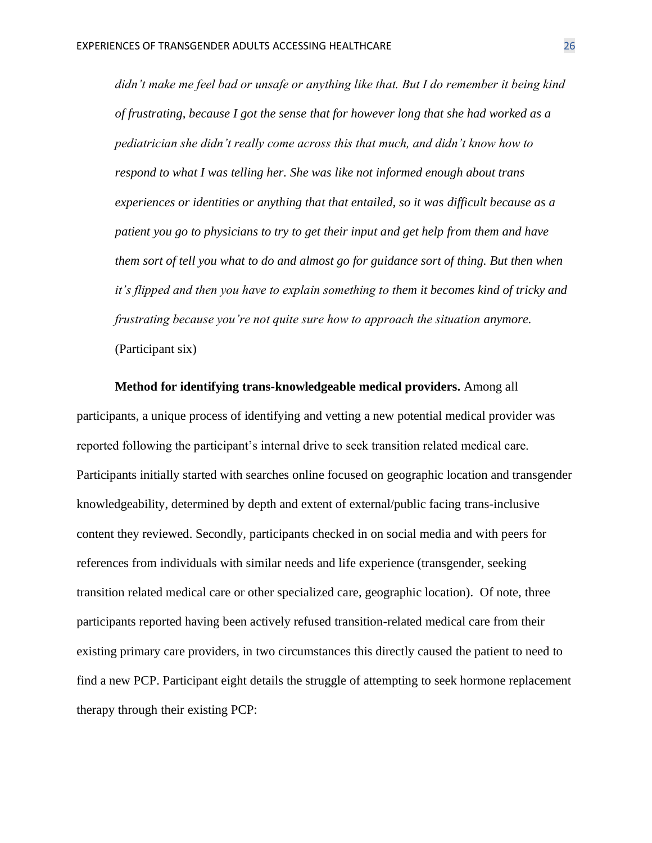*didn't make me feel bad or unsafe or anything like that. But I do remember it being kind of frustrating, because I got the sense that for however long that she had worked as a pediatrician she didn't really come across this that much, and didn't know how to respond to what I was telling her. She was like not informed enough about trans experiences or identities or anything that that entailed, so it was difficult because as a patient you go to physicians to try to get their input and get help from them and have them sort of tell you what to do and almost go for guidance sort of thing. But then when it's flipped and then you have to explain something to them it becomes kind of tricky and frustrating because you're not quite sure how to approach the situation anymore.* (Participant six)

**Method for identifying trans-knowledgeable medical providers.** Among all participants, a unique process of identifying and vetting a new potential medical provider was reported following the participant's internal drive to seek transition related medical care. Participants initially started with searches online focused on geographic location and transgender knowledgeability, determined by depth and extent of external/public facing trans-inclusive content they reviewed. Secondly, participants checked in on social media and with peers for references from individuals with similar needs and life experience (transgender, seeking transition related medical care or other specialized care, geographic location). Of note, three participants reported having been actively refused transition-related medical care from their existing primary care providers, in two circumstances this directly caused the patient to need to find a new PCP. Participant eight details the struggle of attempting to seek hormone replacement therapy through their existing PCP: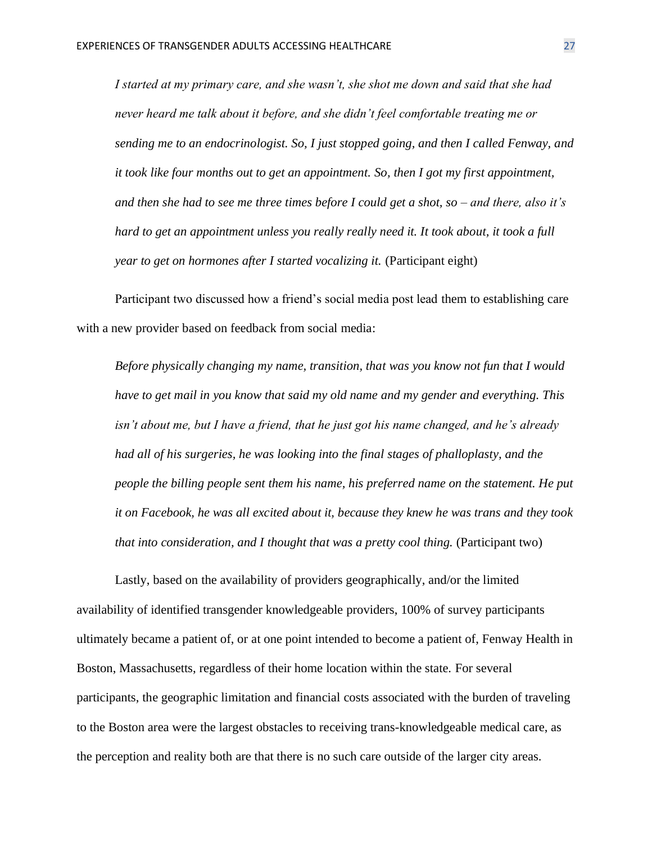*I started at my primary care, and she wasn't, she shot me down and said that she had never heard me talk about it before, and she didn't feel comfortable treating me or sending me to an endocrinologist. So, I just stopped going, and then I called Fenway, and it took like four months out to get an appointment. So, then I got my first appointment, and then she had to see me three times before I could get a shot, so – and there, also it's hard to get an appointment unless you really really need it. It took about, it took a full year to get on hormones after I started vocalizing it.* (Participant eight)

Participant two discussed how a friend's social media post lead them to establishing care with a new provider based on feedback from social media:

*Before physically changing my name, transition, that was you know not fun that I would have to get mail in you know that said my old name and my gender and everything. This isn't about me, but I have a friend, that he just got his name changed, and he's already had all of his surgeries, he was looking into the final stages of phalloplasty, and the people the billing people sent them his name, his preferred name on the statement. He put it on Facebook, he was all excited about it, because they knew he was trans and they took that into consideration, and I thought that was a pretty cool thing.* (Participant two)

Lastly, based on the availability of providers geographically, and/or the limited availability of identified transgender knowledgeable providers, 100% of survey participants ultimately became a patient of, or at one point intended to become a patient of, Fenway Health in Boston, Massachusetts, regardless of their home location within the state. For several participants, the geographic limitation and financial costs associated with the burden of traveling to the Boston area were the largest obstacles to receiving trans-knowledgeable medical care, as the perception and reality both are that there is no such care outside of the larger city areas.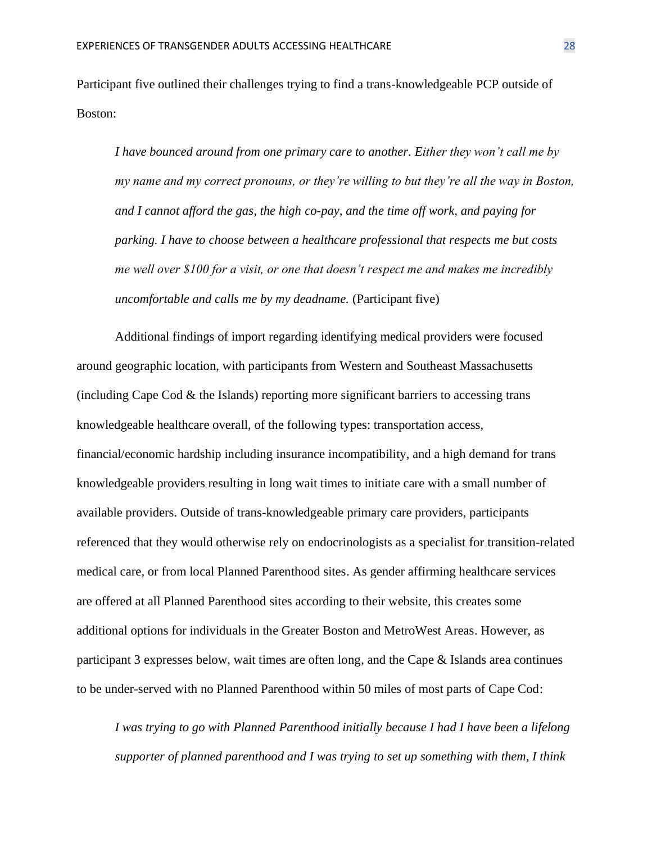Participant five outlined their challenges trying to find a trans-knowledgeable PCP outside of Boston:

*I have bounced around from one primary care to another. Either they won't call me by my name and my correct pronouns, or they're willing to but they're all the way in Boston, and I cannot afford the gas, the high co-pay, and the time off work, and paying for parking. I have to choose between a healthcare professional that respects me but costs me well over \$100 for a visit, or one that doesn't respect me and makes me incredibly uncomfortable and calls me by my deadname.* (Participant five)

Additional findings of import regarding identifying medical providers were focused around geographic location, with participants from Western and Southeast Massachusetts (including Cape Cod & the Islands) reporting more significant barriers to accessing trans knowledgeable healthcare overall, of the following types: transportation access, financial/economic hardship including insurance incompatibility, and a high demand for trans knowledgeable providers resulting in long wait times to initiate care with a small number of available providers. Outside of trans-knowledgeable primary care providers, participants referenced that they would otherwise rely on endocrinologists as a specialist for transition-related medical care, or from local Planned Parenthood sites. As gender affirming healthcare services are offered at all Planned Parenthood sites according to their website, this creates some additional options for individuals in the Greater Boston and MetroWest Areas. However, as participant 3 expresses below, wait times are often long, and the Cape & Islands area continues to be under-served with no Planned Parenthood within 50 miles of most parts of Cape Cod:

*I was trying to go with Planned Parenthood initially because I had I have been a lifelong supporter of planned parenthood and I was trying to set up something with them, I think*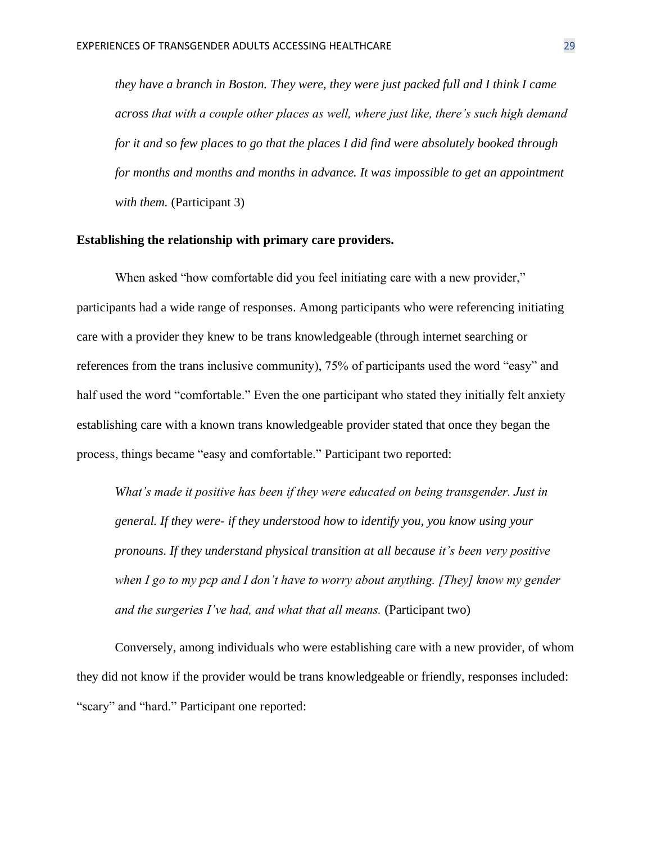*they have a branch in Boston. They were, they were just packed full and I think I came across that with a couple other places as well, where just like, there's such high demand for it and so few places to go that the places I did find were absolutely booked through for months and months and months in advance. It was impossible to get an appointment*  with them. (Participant 3)

## **Establishing the relationship with primary care providers.**

When asked "how comfortable did you feel initiating care with a new provider," participants had a wide range of responses. Among participants who were referencing initiating care with a provider they knew to be trans knowledgeable (through internet searching or references from the trans inclusive community), 75% of participants used the word "easy" and half used the word "comfortable." Even the one participant who stated they initially felt anxiety establishing care with a known trans knowledgeable provider stated that once they began the process, things became "easy and comfortable." Participant two reported:

*What's made it positive has been if they were educated on being transgender. Just in general. If they were- if they understood how to identify you, you know using your pronouns. If they understand physical transition at all because it's been very positive when I go to my pcp and I don't have to worry about anything. [They] know my gender and the surgeries I've had, and what that all means.* (Participant two)

Conversely, among individuals who were establishing care with a new provider, of whom they did not know if the provider would be trans knowledgeable or friendly, responses included: "scary" and "hard." Participant one reported: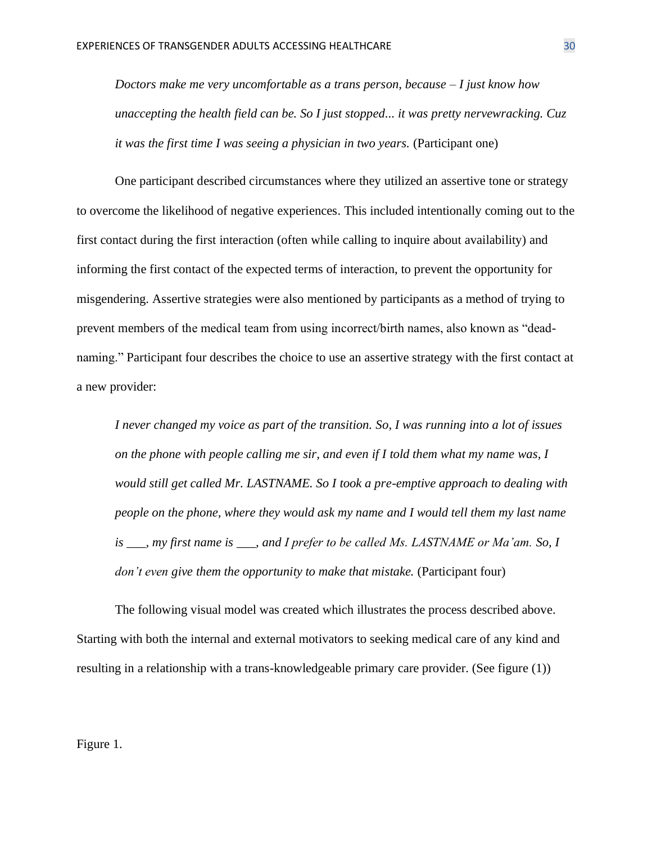*Doctors make me very uncomfortable as a trans person, because – I just know how unaccepting the health field can be. So I just stopped... it was pretty nervewracking. Cuz it was the first time I was seeing a physician in two years.* (Participant one)

One participant described circumstances where they utilized an assertive tone or strategy to overcome the likelihood of negative experiences. This included intentionally coming out to the first contact during the first interaction (often while calling to inquire about availability) and informing the first contact of the expected terms of interaction, to prevent the opportunity for misgendering. Assertive strategies were also mentioned by participants as a method of trying to prevent members of the medical team from using incorrect/birth names, also known as "deadnaming." Participant four describes the choice to use an assertive strategy with the first contact at a new provider:

*I never changed my voice as part of the transition. So, I was running into a lot of issues on the phone with people calling me sir, and even if I told them what my name was, I would still get called Mr. LASTNAME. So I took a pre-emptive approach to dealing with people on the phone, where they would ask my name and I would tell them my last name is \_\_\_, my first name is \_\_\_, and I prefer to be called Ms. LASTNAME or Ma'am. So, I don't even give them the opportunity to make that mistake.* (Participant four)

The following visual model was created which illustrates the process described above. Starting with both the internal and external motivators to seeking medical care of any kind and resulting in a relationship with a trans-knowledgeable primary care provider. (See figure (1))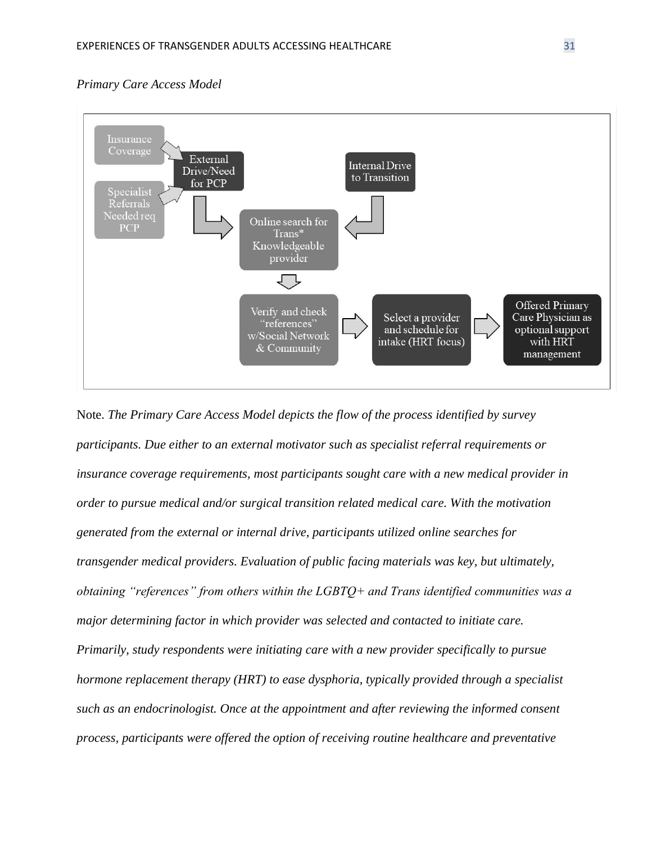## *Primary Care Access Model*



Note. *The Primary Care Access Model depicts the flow of the process identified by survey participants. Due either to an external motivator such as specialist referral requirements or insurance coverage requirements, most participants sought care with a new medical provider in order to pursue medical and/or surgical transition related medical care. With the motivation generated from the external or internal drive, participants utilized online searches for transgender medical providers. Evaluation of public facing materials was key, but ultimately, obtaining "references" from others within the LGBTQ+ and Trans identified communities was a major determining factor in which provider was selected and contacted to initiate care. Primarily, study respondents were initiating care with a new provider specifically to pursue hormone replacement therapy (HRT) to ease dysphoria, typically provided through a specialist such as an endocrinologist. Once at the appointment and after reviewing the informed consent process, participants were offered the option of receiving routine healthcare and preventative*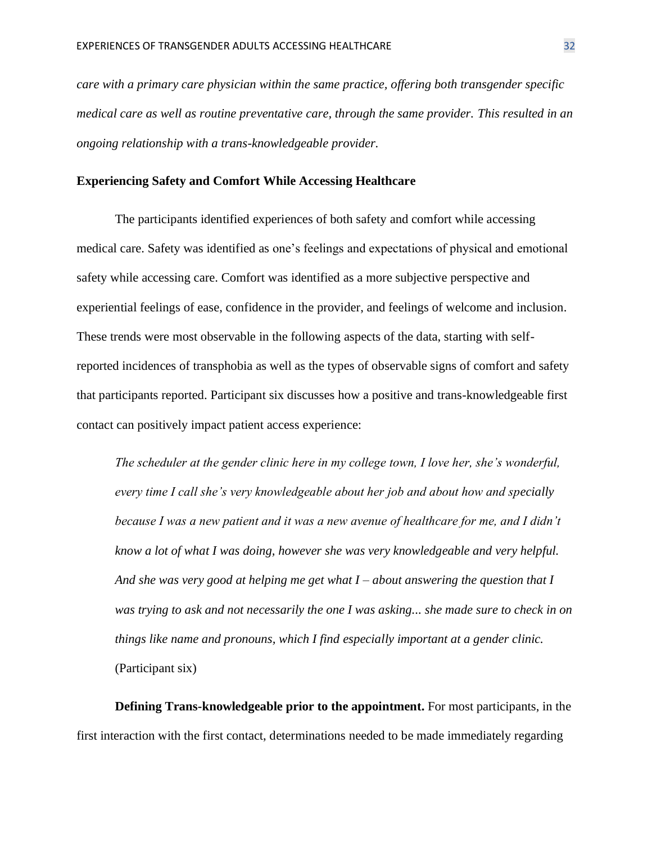*care with a primary care physician within the same practice, offering both transgender specific medical care as well as routine preventative care, through the same provider. This resulted in an ongoing relationship with a trans-knowledgeable provider.*

#### **Experiencing Safety and Comfort While Accessing Healthcare**

The participants identified experiences of both safety and comfort while accessing medical care. Safety was identified as one's feelings and expectations of physical and emotional safety while accessing care. Comfort was identified as a more subjective perspective and experiential feelings of ease, confidence in the provider, and feelings of welcome and inclusion. These trends were most observable in the following aspects of the data, starting with selfreported incidences of transphobia as well as the types of observable signs of comfort and safety that participants reported. Participant six discusses how a positive and trans-knowledgeable first contact can positively impact patient access experience:

*The scheduler at the gender clinic here in my college town, I love her, she's wonderful, every time I call she's very knowledgeable about her job and about how and specially because I was a new patient and it was a new avenue of healthcare for me, and I didn't know a lot of what I was doing, however she was very knowledgeable and very helpful. And she was very good at helping me get what I – about answering the question that I was trying to ask and not necessarily the one I was asking... she made sure to check in on things like name and pronouns, which I find especially important at a gender clinic.* (Participant six)

**Defining Trans-knowledgeable prior to the appointment.** For most participants, in the first interaction with the first contact, determinations needed to be made immediately regarding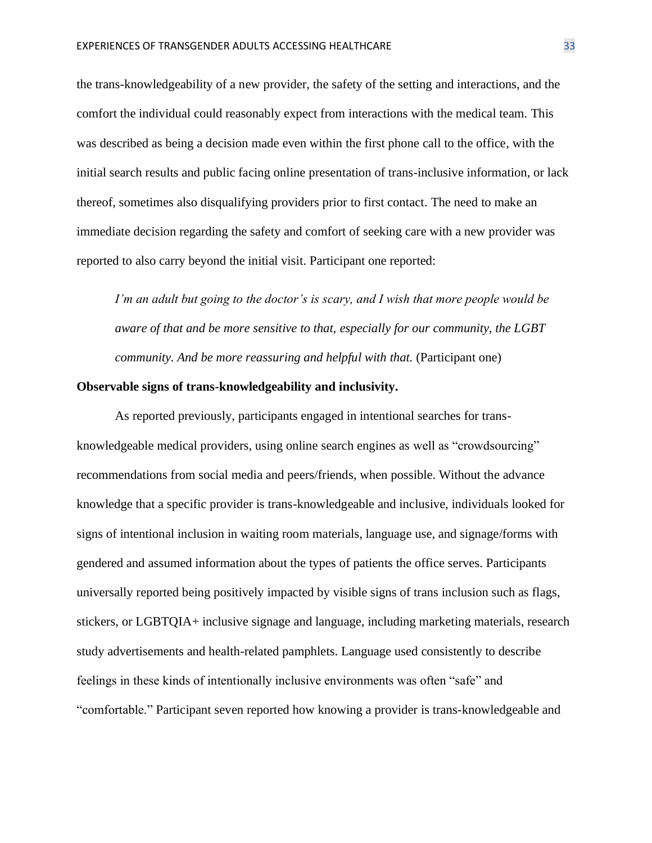the trans-knowledgeability of a new provider, the safety of the setting and interactions, and the comfort the individual could reasonably expect from interactions with the medical team. This was described as being a decision made even within the first phone call to the office, with the initial search results and public facing online presentation of trans-inclusive information, or lack thereof, sometimes also disqualifying providers prior to first contact. The need to make an immediate decision regarding the safety and comfort of seeking care with a new provider was reported to also carry beyond the initial visit. Participant one reported:

*I'm an adult but going to the doctor's is scary, and I wish that more people would be aware of that and be more sensitive to that, especially for our community, the LGBT community. And be more reassuring and helpful with that.* (Participant one)

## **Observable signs of trans-knowledgeability and inclusivity.**

As reported previously, participants engaged in intentional searches for transknowledgeable medical providers, using online search engines as well as "crowdsourcing" recommendations from social media and peers/friends, when possible. Without the advance knowledge that a specific provider is trans-knowledgeable and inclusive, individuals looked for signs of intentional inclusion in waiting room materials, language use, and signage/forms with gendered and assumed information about the types of patients the office serves. Participants universally reported being positively impacted by visible signs of trans inclusion such as flags, stickers, or LGBTQIA+ inclusive signage and language, including marketing materials, research study advertisements and health-related pamphlets. Language used consistently to describe feelings in these kinds of intentionally inclusive environments was often "safe" and "comfortable." Participant seven reported how knowing a provider is trans-knowledgeable and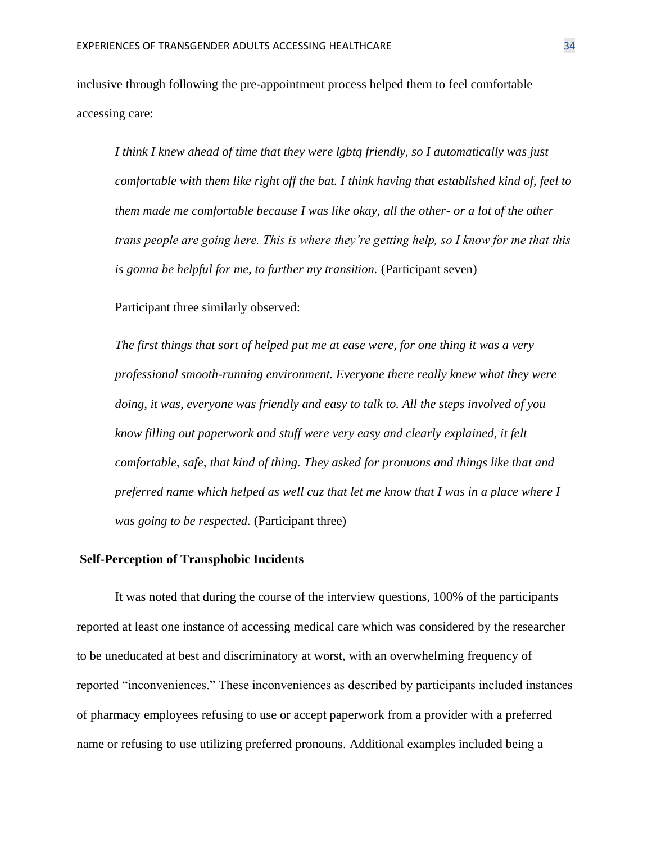inclusive through following the pre-appointment process helped them to feel comfortable accessing care:

*I think I knew ahead of time that they were lgbtq friendly, so I automatically was just comfortable with them like right off the bat. I think having that established kind of, feel to them made me comfortable because I was like okay, all the other- or a lot of the other trans people are going here. This is where they're getting help, so I know for me that this is gonna be helpful for me, to further my transition.* (Participant seven)

Participant three similarly observed:

*The first things that sort of helped put me at ease were, for one thing it was a very professional smooth-running environment. Everyone there really knew what they were doing, it was, everyone was friendly and easy to talk to. All the steps involved of you know filling out paperwork and stuff were very easy and clearly explained, it felt comfortable, safe, that kind of thing. They asked for pronuons and things like that and preferred name which helped as well cuz that let me know that I was in a place where I was going to be respected.* (Participant three)

#### **Self-Perception of Transphobic Incidents**

It was noted that during the course of the interview questions, 100% of the participants reported at least one instance of accessing medical care which was considered by the researcher to be uneducated at best and discriminatory at worst, with an overwhelming frequency of reported "inconveniences." These inconveniences as described by participants included instances of pharmacy employees refusing to use or accept paperwork from a provider with a preferred name or refusing to use utilizing preferred pronouns. Additional examples included being a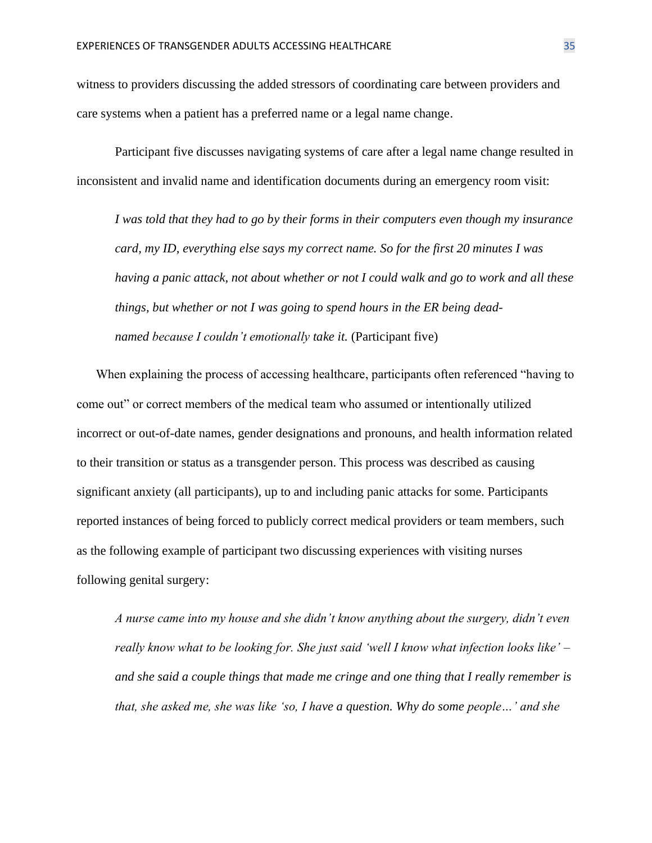witness to providers discussing the added stressors of coordinating care between providers and care systems when a patient has a preferred name or a legal name change.

Participant five discusses navigating systems of care after a legal name change resulted in inconsistent and invalid name and identification documents during an emergency room visit:

*I was told that they had to go by their forms in their computers even though my insurance card, my ID, everything else says my correct name. So for the first 20 minutes I was having a panic attack, not about whether or not I could walk and go to work and all these things, but whether or not I was going to spend hours in the ER being deadnamed because I couldn't emotionally take it.* (Participant five)

When explaining the process of accessing healthcare, participants often referenced "having to come out" or correct members of the medical team who assumed or intentionally utilized incorrect or out-of-date names, gender designations and pronouns, and health information related to their transition or status as a transgender person. This process was described as causing significant anxiety (all participants), up to and including panic attacks for some. Participants reported instances of being forced to publicly correct medical providers or team members, such as the following example of participant two discussing experiences with visiting nurses following genital surgery:

*A nurse came into my house and she didn't know anything about the surgery, didn't even really know what to be looking for. She just said 'well I know what infection looks like' – and she said a couple things that made me cringe and one thing that I really remember is that, she asked me, she was like 'so, I have a question. Why do some people…' and she*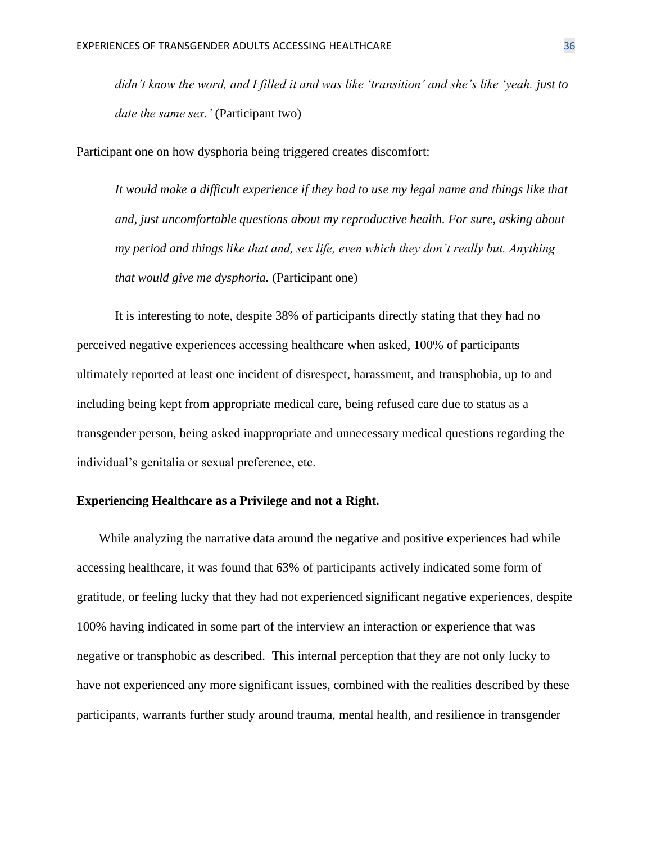*didn't know the word, and I filled it and was like 'transition' and she's like 'yeah. just to date the same sex.'* (Participant two)

Participant one on how dysphoria being triggered creates discomfort:

*It would make a difficult experience if they had to use my legal name and things like that and, just uncomfortable questions about my reproductive health. For sure, asking about my period and things like that and, sex life, even which they don't really but. Anything that would give me dysphoria.* (Participant one)

It is interesting to note, despite 38% of participants directly stating that they had no perceived negative experiences accessing healthcare when asked, 100% of participants ultimately reported at least one incident of disrespect, harassment, and transphobia, up to and including being kept from appropriate medical care, being refused care due to status as a transgender person, being asked inappropriate and unnecessary medical questions regarding the individual's genitalia or sexual preference, etc.

## **Experiencing Healthcare as a Privilege and not a Right.**

While analyzing the narrative data around the negative and positive experiences had while accessing healthcare, it was found that 63% of participants actively indicated some form of gratitude, or feeling lucky that they had not experienced significant negative experiences, despite 100% having indicated in some part of the interview an interaction or experience that was negative or transphobic as described. This internal perception that they are not only lucky to have not experienced any more significant issues, combined with the realities described by these participants, warrants further study around trauma, mental health, and resilience in transgender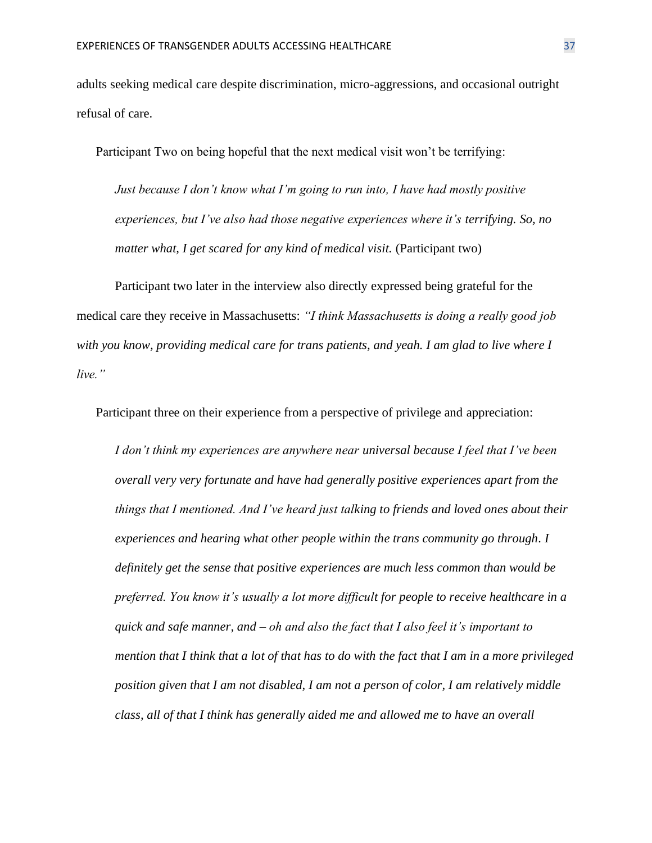adults seeking medical care despite discrimination, micro-aggressions, and occasional outright refusal of care.

Participant Two on being hopeful that the next medical visit won't be terrifying:

*Just because I don't know what I'm going to run into, I have had mostly positive experiences, but I've also had those negative experiences where it's terrifying. So, no matter what, I get scared for any kind of medical visit.* (Participant two)

Participant two later in the interview also directly expressed being grateful for the medical care they receive in Massachusetts: *"I think Massachusetts is doing a really good job with you know, providing medical care for trans patients, and yeah. I am glad to live where I live."*

Participant three on their experience from a perspective of privilege and appreciation:

*I don't think my experiences are anywhere near universal because I feel that I've been overall very very fortunate and have had generally positive experiences apart from the things that I mentioned. And I've heard just talking to friends and loved ones about their experiences and hearing what other people within the trans community go through. I definitely get the sense that positive experiences are much less common than would be preferred. You know it's usually a lot more difficult for people to receive healthcare in a quick and safe manner, and – oh and also the fact that I also feel it's important to mention that I think that a lot of that has to do with the fact that I am in a more privileged position given that I am not disabled, I am not a person of color, I am relatively middle class, all of that I think has generally aided me and allowed me to have an overall*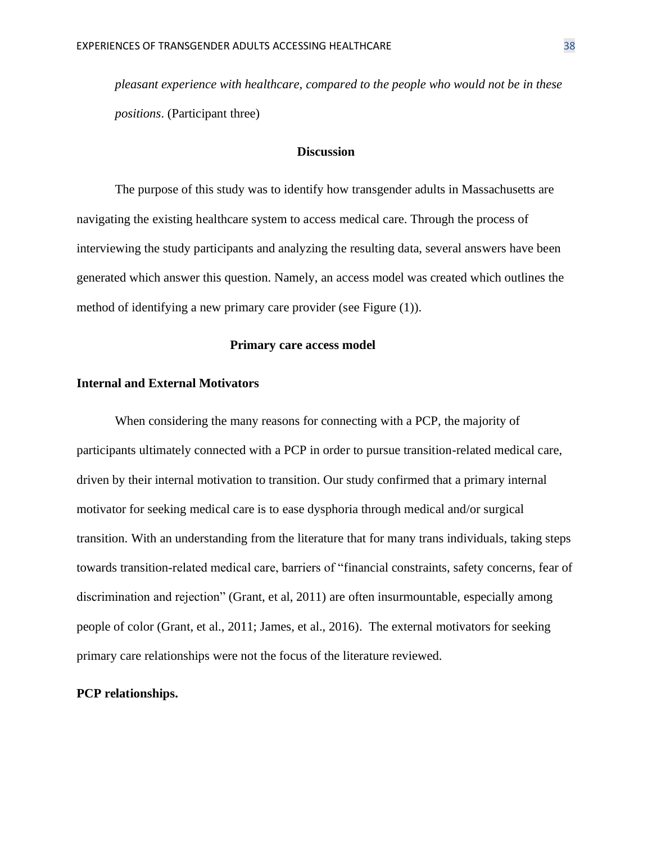*pleasant experience with healthcare, compared to the people who would not be in these positions*. (Participant three)

#### **Discussion**

The purpose of this study was to identify how transgender adults in Massachusetts are navigating the existing healthcare system to access medical care. Through the process of interviewing the study participants and analyzing the resulting data, several answers have been generated which answer this question. Namely, an access model was created which outlines the method of identifying a new primary care provider (see Figure (1)).

#### **Primary care access model**

#### **Internal and External Motivators**

When considering the many reasons for connecting with a PCP, the majority of participants ultimately connected with a PCP in order to pursue transition-related medical care, driven by their internal motivation to transition. Our study confirmed that a primary internal motivator for seeking medical care is to ease dysphoria through medical and/or surgical transition. With an understanding from the literature that for many trans individuals, taking steps towards transition-related medical care, barriers of "financial constraints, safety concerns, fear of discrimination and rejection" (Grant, et al, 2011) are often insurmountable, especially among people of color (Grant, et al., 2011; James, et al., 2016). The external motivators for seeking primary care relationships were not the focus of the literature reviewed.

#### **PCP relationships.**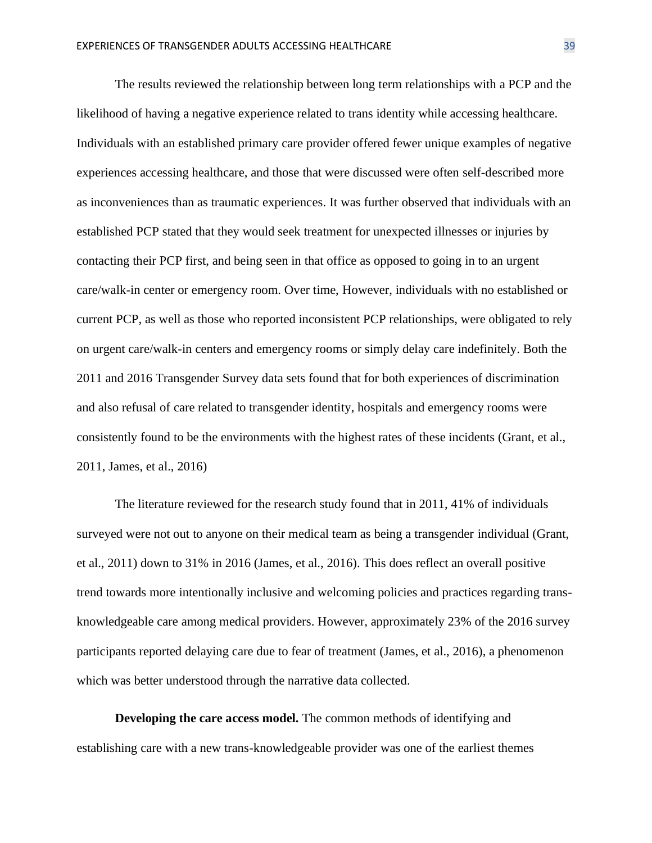The results reviewed the relationship between long term relationships with a PCP and the likelihood of having a negative experience related to trans identity while accessing healthcare. Individuals with an established primary care provider offered fewer unique examples of negative experiences accessing healthcare, and those that were discussed were often self-described more as inconveniences than as traumatic experiences. It was further observed that individuals with an established PCP stated that they would seek treatment for unexpected illnesses or injuries by contacting their PCP first, and being seen in that office as opposed to going in to an urgent care/walk-in center or emergency room. Over time, However, individuals with no established or current PCP, as well as those who reported inconsistent PCP relationships, were obligated to rely on urgent care/walk-in centers and emergency rooms or simply delay care indefinitely. Both the 2011 and 2016 Transgender Survey data sets found that for both experiences of discrimination and also refusal of care related to transgender identity, hospitals and emergency rooms were consistently found to be the environments with the highest rates of these incidents (Grant, et al., 2011, James, et al., 2016)

The literature reviewed for the research study found that in 2011, 41% of individuals surveyed were not out to anyone on their medical team as being a transgender individual (Grant, et al., 2011) down to 31% in 2016 (James, et al., 2016). This does reflect an overall positive trend towards more intentionally inclusive and welcoming policies and practices regarding transknowledgeable care among medical providers. However, approximately 23% of the 2016 survey participants reported delaying care due to fear of treatment (James, et al., 2016), a phenomenon which was better understood through the narrative data collected.

**Developing the care access model.** The common methods of identifying and establishing care with a new trans-knowledgeable provider was one of the earliest themes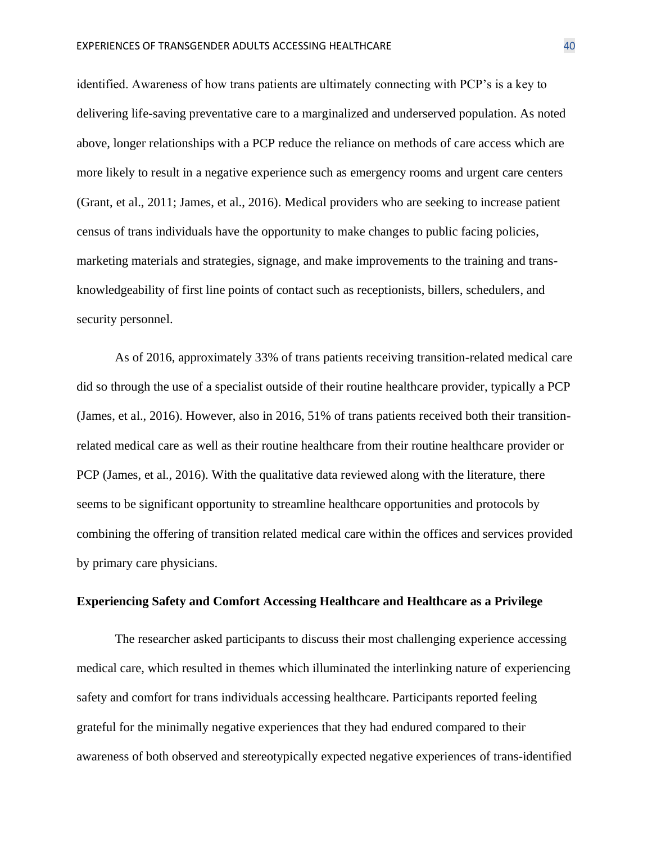identified. Awareness of how trans patients are ultimately connecting with PCP's is a key to delivering life-saving preventative care to a marginalized and underserved population. As noted above, longer relationships with a PCP reduce the reliance on methods of care access which are more likely to result in a negative experience such as emergency rooms and urgent care centers (Grant, et al., 2011; James, et al., 2016). Medical providers who are seeking to increase patient census of trans individuals have the opportunity to make changes to public facing policies, marketing materials and strategies, signage, and make improvements to the training and transknowledgeability of first line points of contact such as receptionists, billers, schedulers, and security personnel.

As of 2016, approximately 33% of trans patients receiving transition-related medical care did so through the use of a specialist outside of their routine healthcare provider, typically a PCP (James, et al., 2016). However, also in 2016, 51% of trans patients received both their transitionrelated medical care as well as their routine healthcare from their routine healthcare provider or PCP (James, et al., 2016). With the qualitative data reviewed along with the literature, there seems to be significant opportunity to streamline healthcare opportunities and protocols by combining the offering of transition related medical care within the offices and services provided by primary care physicians.

#### **Experiencing Safety and Comfort Accessing Healthcare and Healthcare as a Privilege**

The researcher asked participants to discuss their most challenging experience accessing medical care, which resulted in themes which illuminated the interlinking nature of experiencing safety and comfort for trans individuals accessing healthcare. Participants reported feeling grateful for the minimally negative experiences that they had endured compared to their awareness of both observed and stereotypically expected negative experiences of trans-identified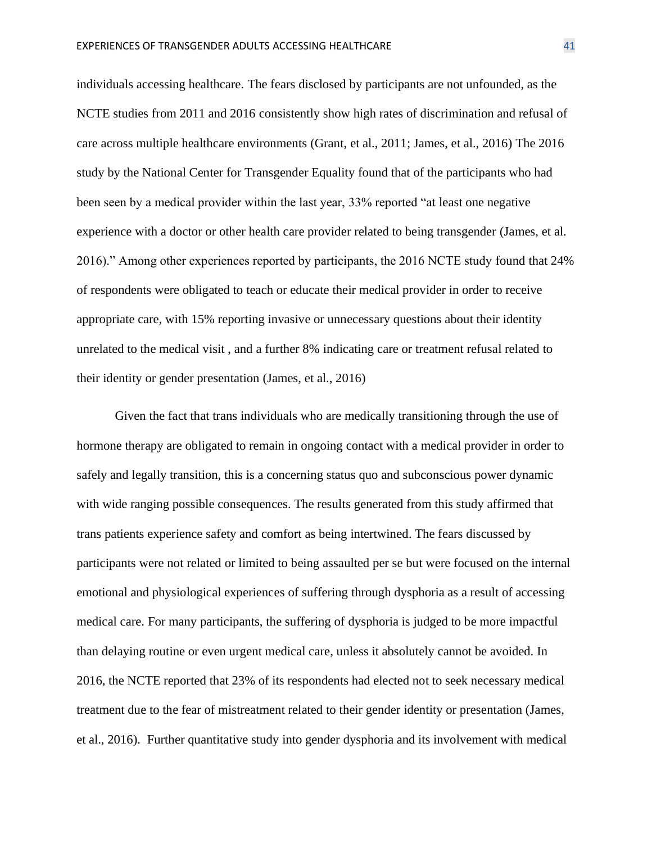individuals accessing healthcare. The fears disclosed by participants are not unfounded, as the NCTE studies from 2011 and 2016 consistently show high rates of discrimination and refusal of care across multiple healthcare environments (Grant, et al., 2011; James, et al., 2016) The 2016 study by the National Center for Transgender Equality found that of the participants who had been seen by a medical provider within the last year, 33% reported "at least one negative experience with a doctor or other health care provider related to being transgender (James, et al. 2016)." Among other experiences reported by participants, the 2016 NCTE study found that 24% of respondents were obligated to teach or educate their medical provider in order to receive appropriate care, with 15% reporting invasive or unnecessary questions about their identity unrelated to the medical visit , and a further 8% indicating care or treatment refusal related to their identity or gender presentation (James, et al., 2016)

Given the fact that trans individuals who are medically transitioning through the use of hormone therapy are obligated to remain in ongoing contact with a medical provider in order to safely and legally transition, this is a concerning status quo and subconscious power dynamic with wide ranging possible consequences. The results generated from this study affirmed that trans patients experience safety and comfort as being intertwined. The fears discussed by participants were not related or limited to being assaulted per se but were focused on the internal emotional and physiological experiences of suffering through dysphoria as a result of accessing medical care. For many participants, the suffering of dysphoria is judged to be more impactful than delaying routine or even urgent medical care, unless it absolutely cannot be avoided. In 2016, the NCTE reported that 23% of its respondents had elected not to seek necessary medical treatment due to the fear of mistreatment related to their gender identity or presentation (James, et al., 2016). Further quantitative study into gender dysphoria and its involvement with medical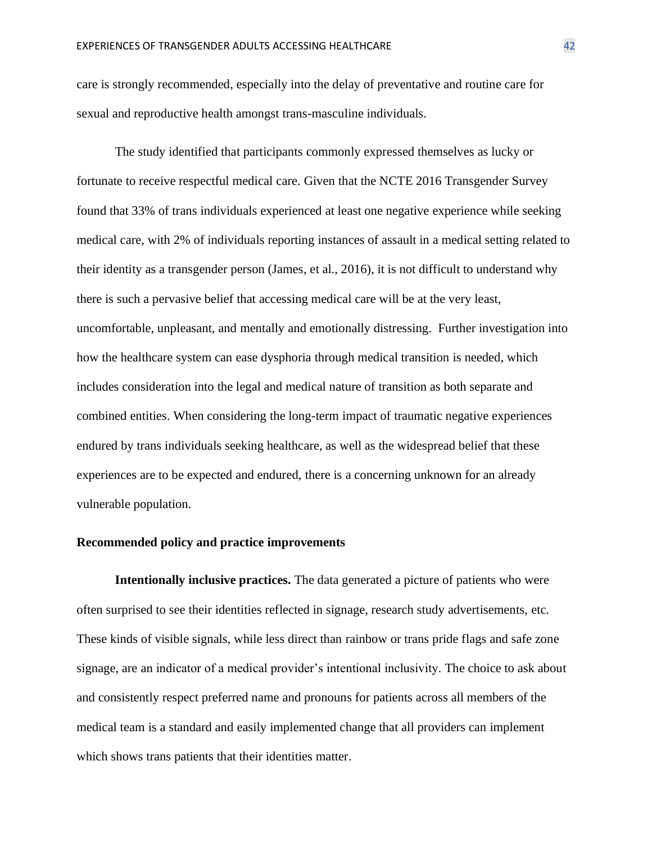care is strongly recommended, especially into the delay of preventative and routine care for sexual and reproductive health amongst trans-masculine individuals.

The study identified that participants commonly expressed themselves as lucky or fortunate to receive respectful medical care. Given that the NCTE 2016 Transgender Survey found that 33% of trans individuals experienced at least one negative experience while seeking medical care, with 2% of individuals reporting instances of assault in a medical setting related to their identity as a transgender person (James, et al., 2016), it is not difficult to understand why there is such a pervasive belief that accessing medical care will be at the very least, uncomfortable, unpleasant, and mentally and emotionally distressing. Further investigation into how the healthcare system can ease dysphoria through medical transition is needed, which includes consideration into the legal and medical nature of transition as both separate and combined entities. When considering the long-term impact of traumatic negative experiences endured by trans individuals seeking healthcare, as well as the widespread belief that these experiences are to be expected and endured, there is a concerning unknown for an already vulnerable population.

#### **Recommended policy and practice improvements**

**Intentionally inclusive practices.** The data generated a picture of patients who were often surprised to see their identities reflected in signage, research study advertisements, etc. These kinds of visible signals, while less direct than rainbow or trans pride flags and safe zone signage, are an indicator of a medical provider's intentional inclusivity. The choice to ask about and consistently respect preferred name and pronouns for patients across all members of the medical team is a standard and easily implemented change that all providers can implement which shows trans patients that their identities matter.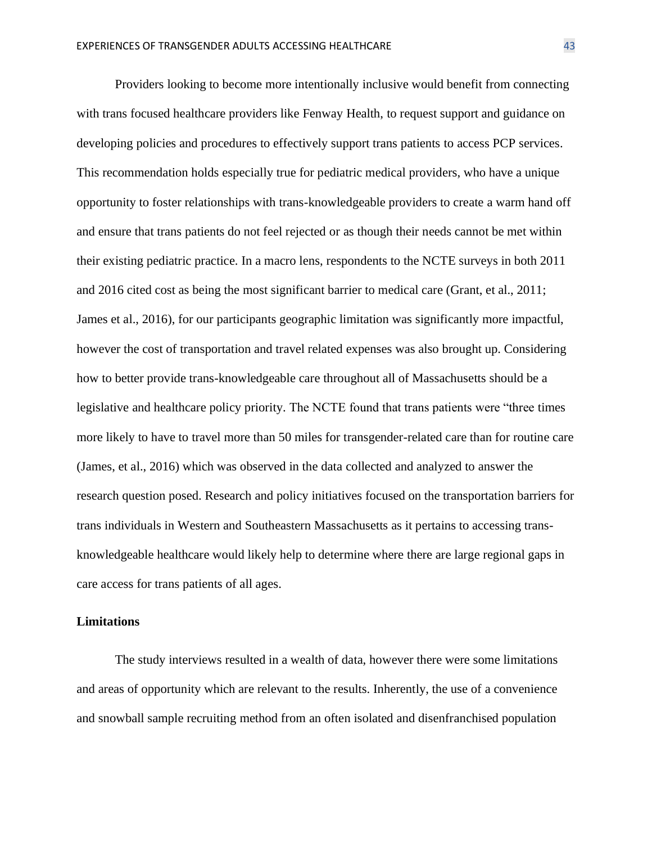Providers looking to become more intentionally inclusive would benefit from connecting with trans focused healthcare providers like Fenway Health, to request support and guidance on developing policies and procedures to effectively support trans patients to access PCP services. This recommendation holds especially true for pediatric medical providers, who have a unique opportunity to foster relationships with trans-knowledgeable providers to create a warm hand off and ensure that trans patients do not feel rejected or as though their needs cannot be met within their existing pediatric practice. In a macro lens, respondents to the NCTE surveys in both 2011 and 2016 cited cost as being the most significant barrier to medical care (Grant, et al., 2011; James et al., 2016), for our participants geographic limitation was significantly more impactful, however the cost of transportation and travel related expenses was also brought up. Considering how to better provide trans-knowledgeable care throughout all of Massachusetts should be a legislative and healthcare policy priority. The NCTE found that trans patients were "three times more likely to have to travel more than 50 miles for transgender-related care than for routine care (James, et al., 2016) which was observed in the data collected and analyzed to answer the research question posed. Research and policy initiatives focused on the transportation barriers for trans individuals in Western and Southeastern Massachusetts as it pertains to accessing transknowledgeable healthcare would likely help to determine where there are large regional gaps in care access for trans patients of all ages.

#### **Limitations**

The study interviews resulted in a wealth of data, however there were some limitations and areas of opportunity which are relevant to the results. Inherently, the use of a convenience and snowball sample recruiting method from an often isolated and disenfranchised population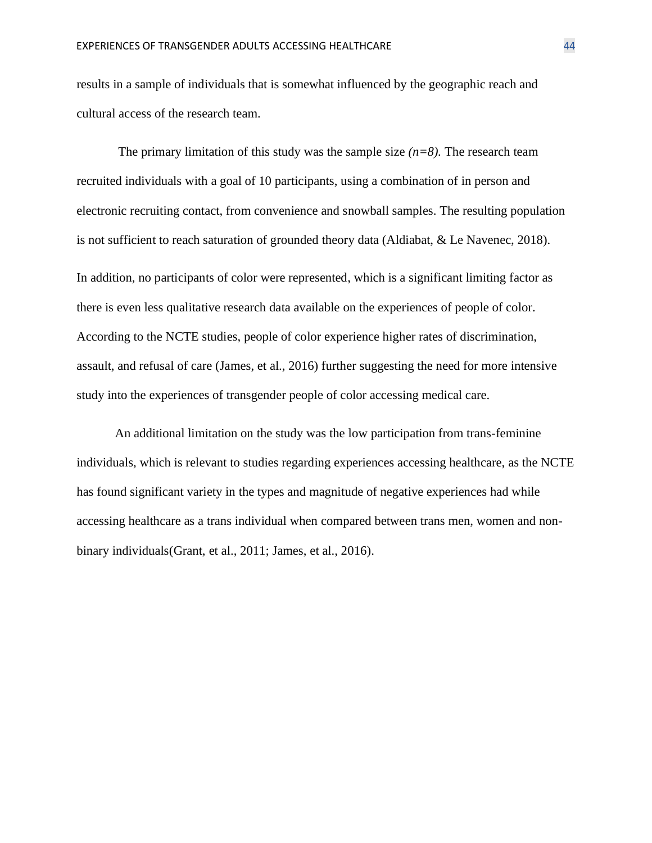results in a sample of individuals that is somewhat influenced by the geographic reach and cultural access of the research team.

The primary limitation of this study was the sample size  $(n=8)$ . The research team recruited individuals with a goal of 10 participants, using a combination of in person and electronic recruiting contact, from convenience and snowball samples. The resulting population is not sufficient to reach saturation of grounded theory data (Aldiabat, & Le Navenec, 2018). In addition, no participants of color were represented, which is a significant limiting factor as there is even less qualitative research data available on the experiences of people of color. According to the NCTE studies, people of color experience higher rates of discrimination, assault, and refusal of care (James, et al., 2016) further suggesting the need for more intensive study into the experiences of transgender people of color accessing medical care.

An additional limitation on the study was the low participation from trans-feminine individuals, which is relevant to studies regarding experiences accessing healthcare, as the NCTE has found significant variety in the types and magnitude of negative experiences had while accessing healthcare as a trans individual when compared between trans men, women and nonbinary individuals(Grant, et al., 2011; James, et al., 2016).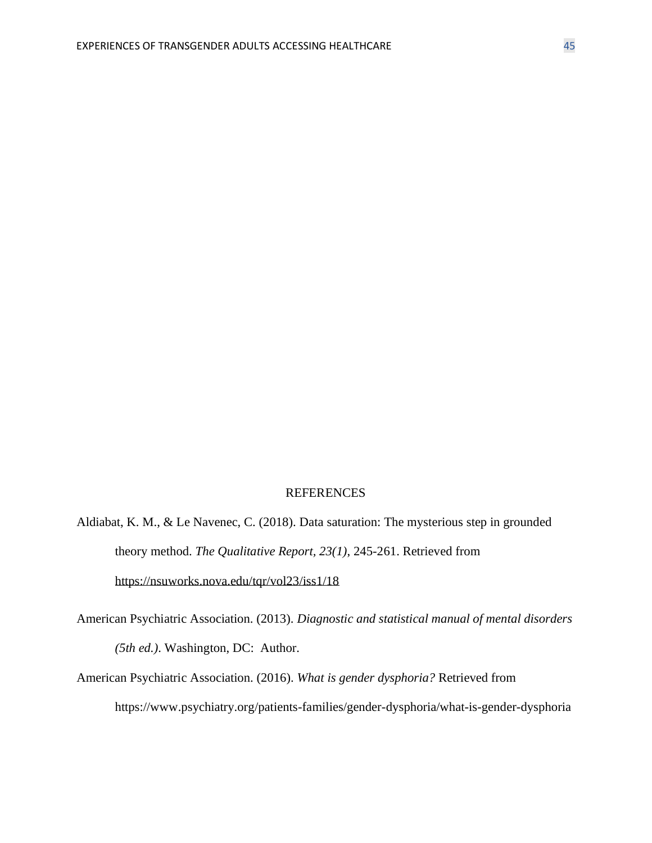#### REFERENCES

- Aldiabat, K. M., & Le Navenec, C. (2018). Data saturation: The mysterious step in grounded theory method. *The Qualitative Report, 23(1)*, 245-261. Retrieved from <https://nsuworks.nova.edu/tqr/vol23/iss1/18>
- American Psychiatric Association. (2013). *Diagnostic and statistical manual of mental disorders (5th ed.)*. Washington, DC: Author.
- American Psychiatric Association. (2016). *What is gender dysphoria?* Retrieved from https://www.psychiatry.org/patients-families/gender-dysphoria/what-is-gender-dysphoria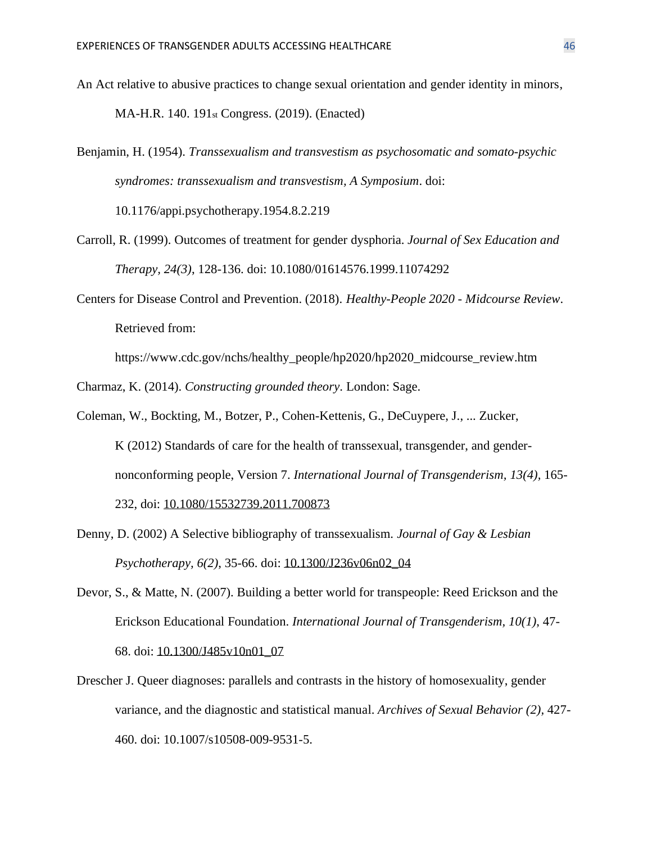- An Act relative to abusive practices to change sexual orientation and gender identity in minors, MA-H.R. 140. 191st Congress. (2019). (Enacted)
- Benjamin, H. (1954). *Transsexualism and transvestism as psychosomatic and somato-psychic syndromes: transsexualism and transvestism, A Symposium*. doi: 10.1176/appi.psychotherapy.1954.8.2.219
- Carroll, R. (1999). Outcomes of treatment for gender dysphoria. *Journal of Sex Education and Therapy, 24(3)*, 128-136. doi: [10.1080/01614576.1999.11074292](https://doi.org/10.1080/01614576.1999.11074292)
- Centers for Disease Control and Prevention. (2018). *Healthy-People 2020 - Midcourse Review*. Retrieved from:

https://www.cdc.gov/nchs/healthy\_people/hp2020/hp2020\_midcourse\_review.htm

Charmaz, K. (2014). *Constructing grounded theory*. London: Sage.

- Coleman, W., Bockting, M., Botzer, P., Cohen-Kettenis, G., DeCuypere, J., ... Zucker, K (2012) Standards of care for the health of transsexual, transgender, and gendernonconforming people, Version 7. *International Journal of Transgenderism, 13(4),* 165- 232, doi: [10.1080/15532739.2011.700873](https://doi.org/10.1080/15532739.2011.700873)
- Denny, D. (2002) A Selective bibliography of transsexualism. *Journal of Gay & Lesbian Psychotherapy, 6(2)*, 35-66. doi: [10.1300/J236v06n02\\_04](https://doi.org/10.1300/J236v06n02_04)
- Devor, S., & Matte, N. (2007). Building a better world for transpeople: Reed Erickson and the Erickson Educational Foundation. *International Journal of Transgenderism, 10(1)*, 47- 68. doi: [10.1300/J485v10n01\\_07](https://doi.org/10.1300/J485v10n01_07)
- Drescher J. Queer diagnoses: parallels and contrasts in the history of homosexuality, gender variance, and the diagnostic and statistical manual. *Archives of Sexual Behavior (2),* 427- 460. doi: 10.1007/s10508-009-9531-5.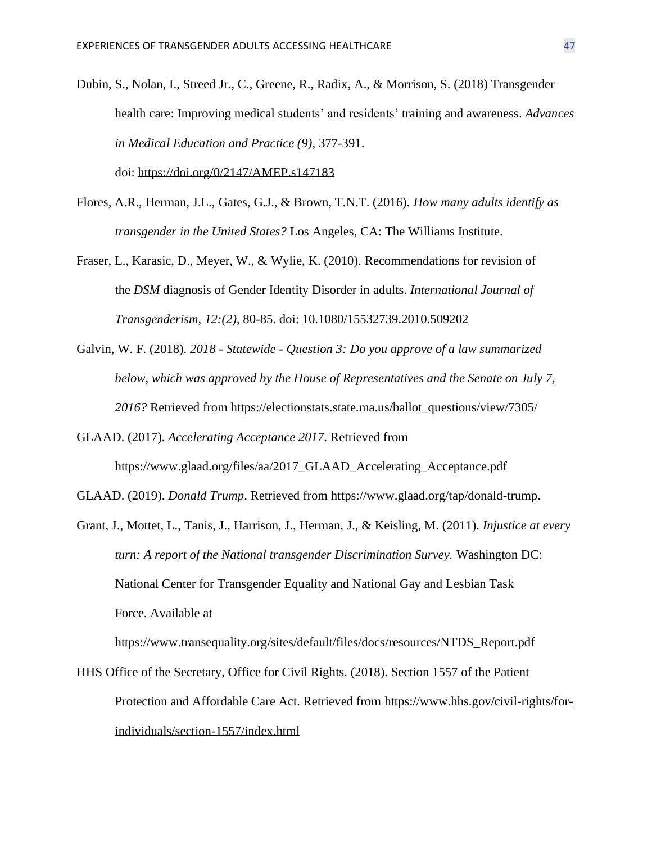Dubin, S., Nolan, I., Streed Jr., C., Greene, R., Radix, A., & Morrison, S. (2018) Transgender health care: Improving medical students' and residents' training and awareness. *Advances in Medical Education and Practice (9),* 377-391.

doi: <https://doi.org/0/2147/AMEP.s147183>

- Flores, A.R., Herman, J.L., Gates, G.J., & Brown, T.N.T. (2016). *How many adults identify as transgender in the United States?* Los Angeles, CA: The Williams Institute.
- Fraser, L., Karasic, D., Meyer, W., & Wylie, K. (2010). Recommendations for revision of the *DSM* diagnosis of Gender Identity Disorder in adults. *International Journal of Transgenderism, 12:(2)*, 80-85. doi: [10.1080/15532739.2010.509202](https://doi.org/10.1080/15532739.2010.509202)
- Galvin, W. F. (2018). *2018 - Statewide - Question 3: Do you approve of a law summarized below, which was approved by the House of Representatives and the Senate on July 7, 2016?* Retrieved from https://electionstats.state.ma.us/ballot\_questions/view/7305/
- GLAAD. (2017). *Accelerating Acceptance 2017*. Retrieved from https://www.glaad.org/files/aa/2017\_GLAAD\_Accelerating\_Acceptance.pdf
- GLAAD. (2019). *Donald Trump*. Retrieved from [https://www.glaad.org/tap/donald-trump.](https://www.glaad.org/tap/donald-trump)
- Grant, J., Mottet, L., Tanis, J., Harrison, J., Herman, J., & Keisling, M. (2011). *Injustice at every turn: A report of the National transgender Discrimination Survey.* Washington DC: National Center for Transgender Equality and National Gay and Lesbian Task Force. Available at

https://www.transequality.org/sites/default/files/docs/resources/NTDS\_Report.pdf

HHS Office of the Secretary, Office for Civil Rights. (2018). Section 1557 of the Patient Protection and Affordable Care Act. Retrieved from [https://www.hhs.gov/civil-rights/for](https://www.hhs.gov/civil-rights/for-individuals/section-1557/index.html)[individuals/section-1557/index.html](https://www.hhs.gov/civil-rights/for-individuals/section-1557/index.html)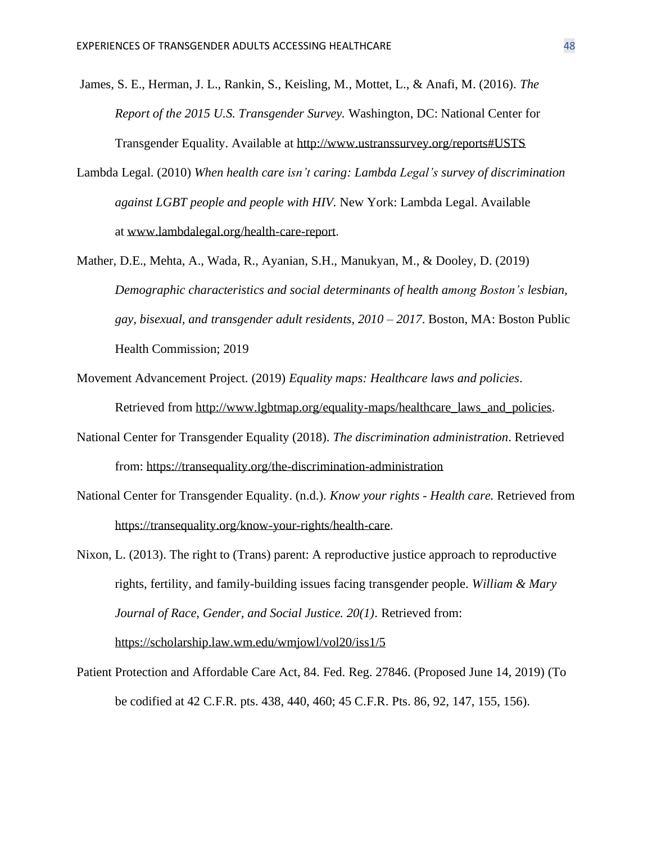James, S. E., Herman, J. L., Rankin, S., Keisling, M., Mottet, L., & Anafi, M. (2016). *The Report of the 2015 U.S. Transgender Survey.* Washington, DC: National Center for Transgender Equality. Available at<http://www.ustranssurvey.org/reports#USTS>

- Lambda Legal. (2010) *When health care isn't caring: Lambda Legal's survey of discrimination against LGBT people and people with HIV.* New York: Lambda Legal. Available at [www.lambdalegal.org/health-care-report.](http://www.lambdalegal.org/health-care-report)
- Mather, D.E., Mehta, A., Wada, R., Ayanian, S.H., Manukyan, M., & Dooley, D. (2019) *Demographic characteristics and social determinants of health among Boston's lesbian, gay, bisexual, and transgender adult residents, 2010 – 2017*. Boston, MA: Boston Public Health Commission; 2019
- Movement Advancement Project. (2019) *Equality maps: Healthcare laws and policies*. Retrieved from [http://www.lgbtmap.org/equality-maps/healthcare\\_laws\\_and\\_policies.](http://www.lgbtmap.org/equality-maps/healthcare_laws_and_policies)
- National Center for Transgender Equality (2018). *The discrimination administration*. Retrieved from: <https://transequality.org/the-discrimination-administration>
- National Center for Transgender Equality. (n.d.). *Know your rights - Health care.* Retrieved from [https://transequality.org/know-your-rights/health-care.](https://transequality.org/know-your-rights/health-care)
- Nixon, L. (2013). The right to (Trans) parent: A reproductive justice approach to reproductive rights, fertility, and family-building issues facing transgender people. *William & Mary Journal of Race, Gender, and Social Justice. 20(1)*. Retrieved from: <https://scholarship.law.wm.edu/wmjowl/vol20/iss1/5>
- Patient Protection and Affordable Care Act, 84. Fed. Reg. 27846. (Proposed June 14, 2019) (To be codified at 42 C.F.R. pts. 438, 440, 460; 45 C.F.R. Pts. 86, 92, 147, 155, 156).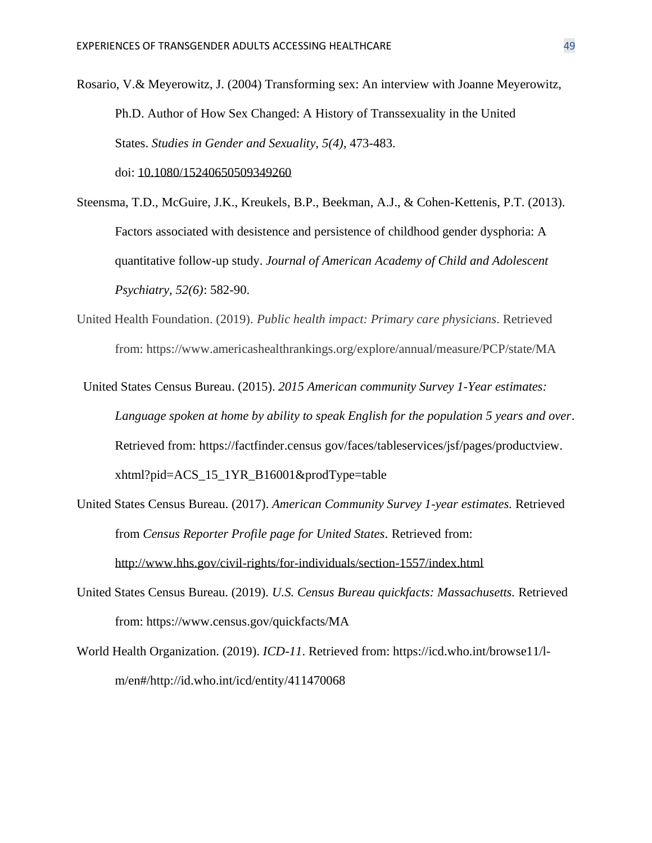Rosario, V.& Meyerowitz, J. (2004) Transforming sex: An interview with Joanne Meyerowitz, Ph.D. Author of How Sex Changed: A History of Transsexuality in the United States. *Studies in Gender and Sexuality, 5(4)*, 473-483. doi: [10.1080/15240650509349260](https://doi.org/10.1080/15240650509349260)

Steensma, T.D., McGuire, J.K., Kreukels, B.P., Beekman, A.J., & Cohen-Kettenis, P.T. (2013). Factors associated with desistence and persistence of childhood gender dysphoria: A quantitative follow-up study. *Journal of American Academy of Child and Adolescent*

*Psychiatry, 52(6)*: 582-90.

- United Health Foundation. (2019). *Public health impact: Primary care physicians*. Retrieved from: https://www.americashealthrankings.org/explore/annual/measure/PCP/state/MA
- United States Census Bureau. (2015). *2015 American community Survey 1-Year estimates: Language spoken at home by ability to speak English for the population 5 years and over*. Retrieved from: https://factfinder.census gov/faces/tableservices/jsf/pages/productview. xhtml?pid=ACS\_15\_1YR\_B16001&prodType=table
- United States Census Bureau. (2017). *American Community Survey 1-year estimates.* Retrieved from *Census Reporter Profile page for United States.* Retrieved from: <http://www.hhs.gov/civil-rights/for-individuals/section-1557/index.html>
- United States Census Bureau. (2019). *U.S. Census Bureau quickfacts: Massachusetts.* Retrieved from: https://www.census.gov/quickfacts/MA
- World Health Organization. (2019). *ICD-11*. Retrieved from: https://icd.who.int/browse11/lm/en#/http://id.who.int/icd/entity/411470068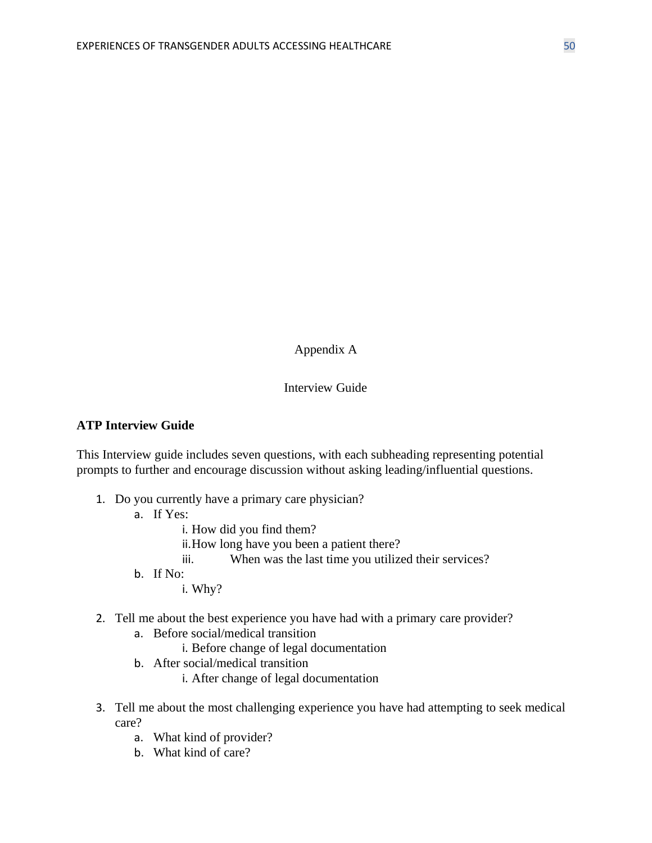Appendix A

## Interview Guide

#### **ATP Interview Guide**

This Interview guide includes seven questions, with each subheading representing potential prompts to further and encourage discussion without asking leading/influential questions.

- 1. Do you currently have a primary care physician?
	- a. If Yes:
		- i. How did you find them?
		- ii.How long have you been a patient there?
		- iii. When was the last time you utilized their services?
	- b. If No:

i. Why?

## 2. Tell me about the best experience you have had with a primary care provider?

- a. Before social/medical transition
	- i. Before change of legal documentation
- b. After social/medical transition
	- i. After change of legal documentation
- 3. Tell me about the most challenging experience you have had attempting to seek medical care?
	- a. What kind of provider?
	- b. What kind of care?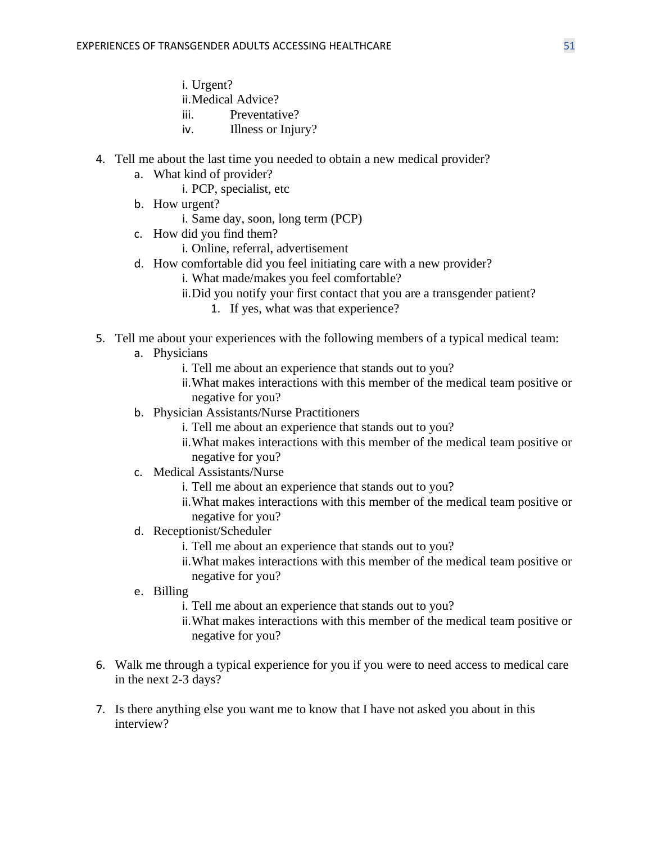- i. Urgent?
- ii.Medical Advice?
- iii. Preventative?
- iv. Illness or Injury?
- 4. Tell me about the last time you needed to obtain a new medical provider?
	- a. What kind of provider?
		- i. PCP, specialist, etc
	- b. How urgent?
		- i. Same day, soon, long term (PCP)
	- c. How did you find them?
		- i. Online, referral, advertisement
	- d. How comfortable did you feel initiating care with a new provider?
		- i. What made/makes you feel comfortable?
		- ii.Did you notify your first contact that you are a transgender patient?
			- 1. If yes, what was that experience?
- 5. Tell me about your experiences with the following members of a typical medical team:
	- a. Physicians
		- i. Tell me about an experience that stands out to you?
		- ii.What makes interactions with this member of the medical team positive or negative for you?
	- b. Physician Assistants/Nurse Practitioners
		- i. Tell me about an experience that stands out to you?
		- ii.What makes interactions with this member of the medical team positive or negative for you?
	- c. Medical Assistants/Nurse
		- i. Tell me about an experience that stands out to you?
		- ii.What makes interactions with this member of the medical team positive or negative for you?
	- d. Receptionist/Scheduler
		- i. Tell me about an experience that stands out to you?
		- ii.What makes interactions with this member of the medical team positive or negative for you?
	- e. Billing
		- i. Tell me about an experience that stands out to you?
		- ii.What makes interactions with this member of the medical team positive or negative for you?
- 6. Walk me through a typical experience for you if you were to need access to medical care in the next 2-3 days?
- 7. Is there anything else you want me to know that I have not asked you about in this interview?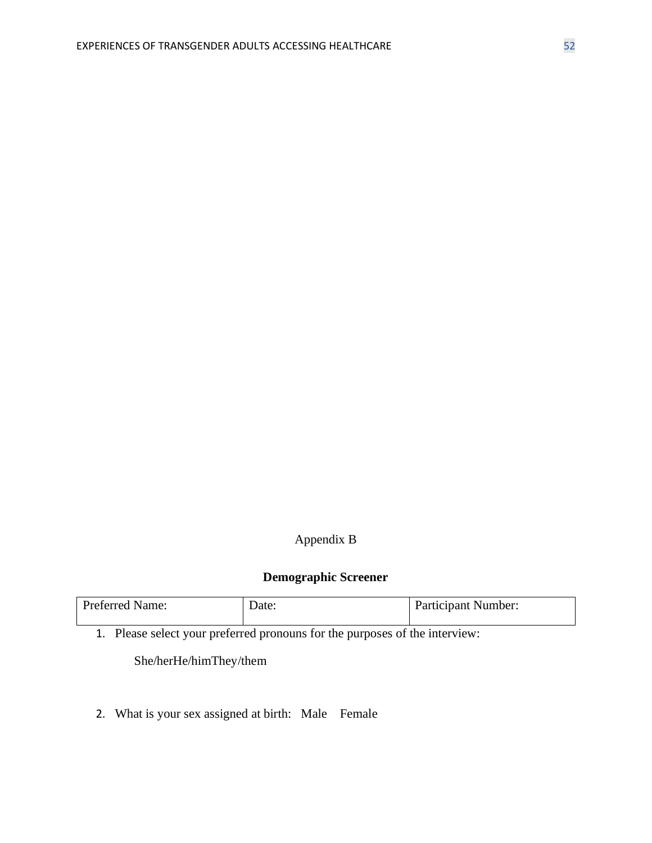# Appendix B

# **Demographic Screener**

| <b>Preferred Name:</b> | Date: | <b>Participant Number:</b> |
|------------------------|-------|----------------------------|
|                        |       |                            |

1. Please select your preferred pronouns for the purposes of the interview:

She/herHe/himThey/them

2. What is your sex assigned at birth: Male Female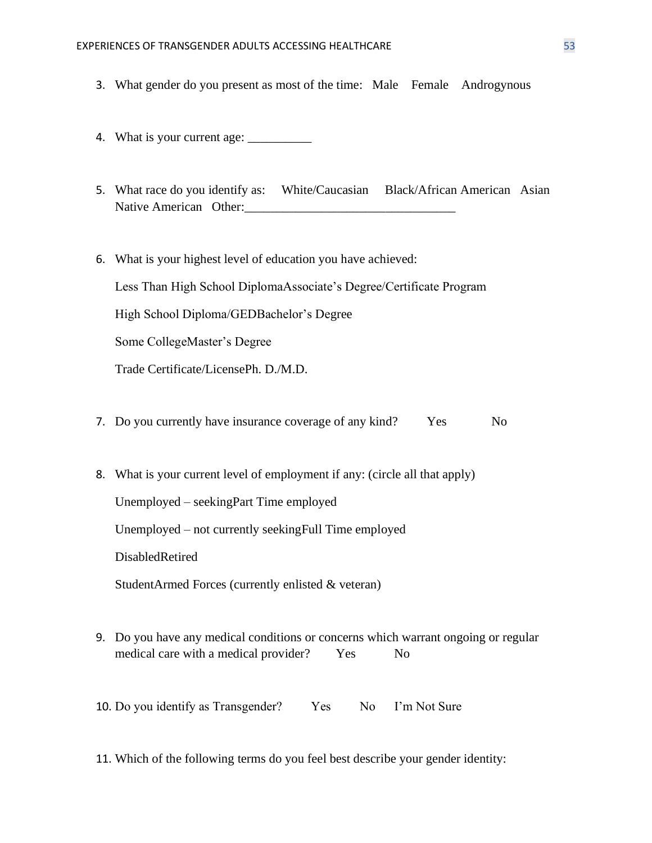- 3. What gender do you present as most of the time: Male Female Androgynous
- 4. What is your current age: \_\_\_\_\_\_\_\_\_\_
- 5. What race do you identify as: White/Caucasian Black/African American Asian Native American Other:
- 6. What is your highest level of education you have achieved: Less Than High School DiplomaAssociate's Degree/Certificate Program High School Diploma/GEDBachelor's Degree Some CollegeMaster's Degree Trade Certificate/LicensePh. D./M.D. 7. Do you currently have insurance coverage of any kind? Yes No
- 8. What is your current level of employment if any: (circle all that apply)

Unemployed – seekingPart Time employed

Unemployed – not currently seekingFull Time employed

DisabledRetired

StudentArmed Forces (currently enlisted & veteran)

9. Do you have any medical conditions or concerns which warrant ongoing or regular medical care with a medical provider? Yes No

10. Do you identify as Transgender? Yes No I'm Not Sure

11. Which of the following terms do you feel best describe your gender identity: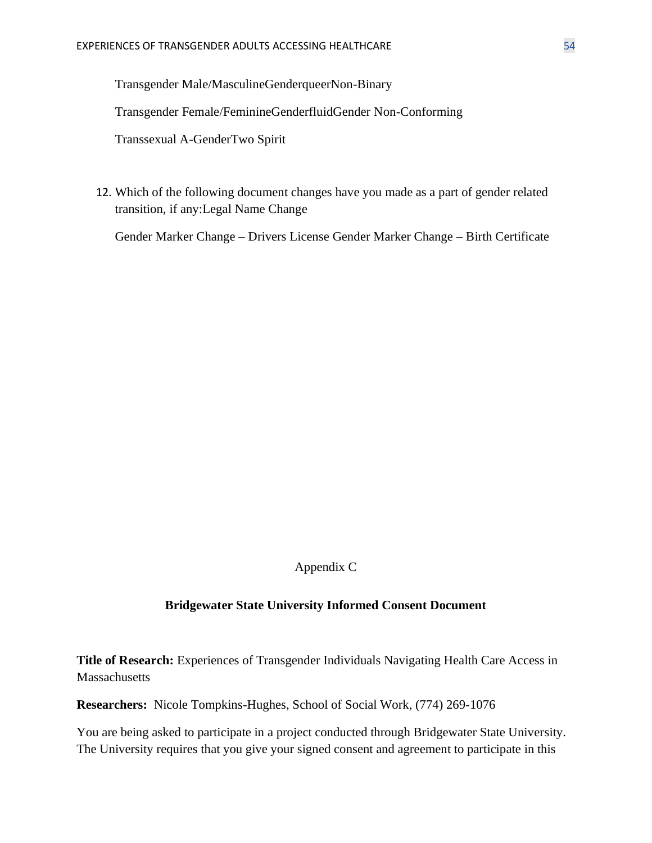Transgender Male/MasculineGenderqueerNon-Binary

Transgender Female/FeminineGenderfluidGender Non-Conforming

Transsexual A-GenderTwo Spirit

12. Which of the following document changes have you made as a part of gender related transition, if any:Legal Name Change

Gender Marker Change – Drivers License Gender Marker Change – Birth Certificate

Appendix C

#### **Bridgewater State University Informed Consent Document**

**Title of Research:** Experiences of Transgender Individuals Navigating Health Care Access in **Massachusetts** 

**Researchers:** Nicole Tompkins-Hughes, School of Social Work, (774) 269-1076

You are being asked to participate in a project conducted through Bridgewater State University. The University requires that you give your signed consent and agreement to participate in this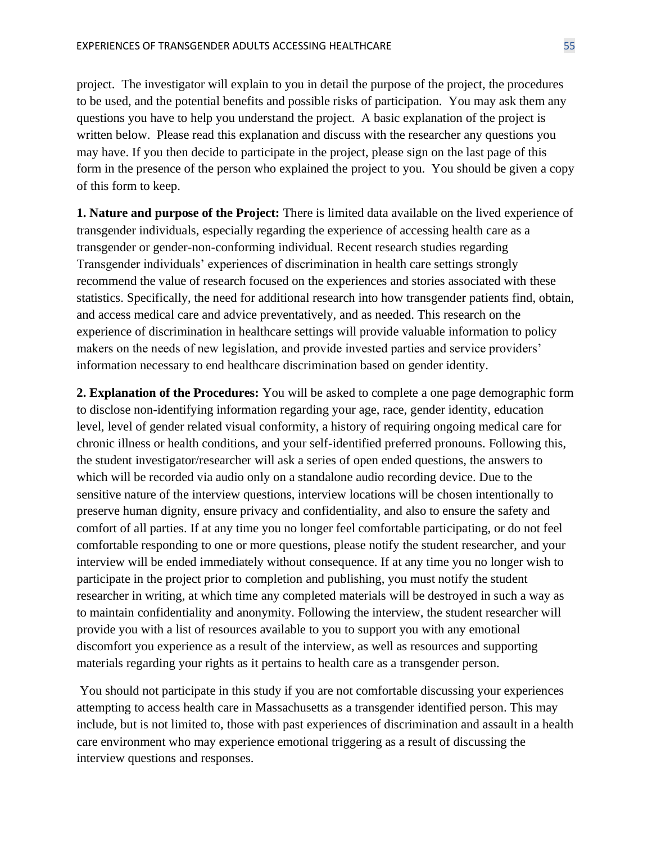project. The investigator will explain to you in detail the purpose of the project, the procedures to be used, and the potential benefits and possible risks of participation. You may ask them any questions you have to help you understand the project. A basic explanation of the project is written below. Please read this explanation and discuss with the researcher any questions you may have. If you then decide to participate in the project, please sign on the last page of this form in the presence of the person who explained the project to you. You should be given a copy of this form to keep.

**1. Nature and purpose of the Project:** There is limited data available on the lived experience of transgender individuals, especially regarding the experience of accessing health care as a transgender or gender-non-conforming individual. Recent research studies regarding Transgender individuals' experiences of discrimination in health care settings strongly recommend the value of research focused on the experiences and stories associated with these statistics. Specifically, the need for additional research into how transgender patients find, obtain, and access medical care and advice preventatively, and as needed. This research on the experience of discrimination in healthcare settings will provide valuable information to policy makers on the needs of new legislation, and provide invested parties and service providers' information necessary to end healthcare discrimination based on gender identity.

**2. Explanation of the Procedures:** You will be asked to complete a one page demographic form to disclose non-identifying information regarding your age, race, gender identity, education level, level of gender related visual conformity, a history of requiring ongoing medical care for chronic illness or health conditions, and your self-identified preferred pronouns. Following this, the student investigator/researcher will ask a series of open ended questions, the answers to which will be recorded via audio only on a standalone audio recording device. Due to the sensitive nature of the interview questions, interview locations will be chosen intentionally to preserve human dignity, ensure privacy and confidentiality, and also to ensure the safety and comfort of all parties. If at any time you no longer feel comfortable participating, or do not feel comfortable responding to one or more questions, please notify the student researcher, and your interview will be ended immediately without consequence. If at any time you no longer wish to participate in the project prior to completion and publishing, you must notify the student researcher in writing, at which time any completed materials will be destroyed in such a way as to maintain confidentiality and anonymity. Following the interview, the student researcher will provide you with a list of resources available to you to support you with any emotional discomfort you experience as a result of the interview, as well as resources and supporting materials regarding your rights as it pertains to health care as a transgender person.

You should not participate in this study if you are not comfortable discussing your experiences attempting to access health care in Massachusetts as a transgender identified person. This may include, but is not limited to, those with past experiences of discrimination and assault in a health care environment who may experience emotional triggering as a result of discussing the interview questions and responses.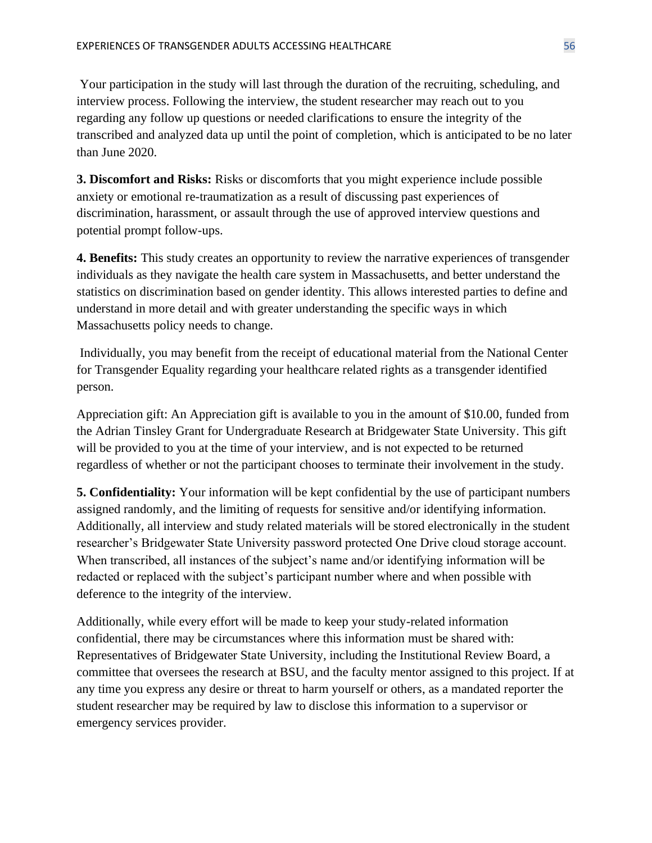Your participation in the study will last through the duration of the recruiting, scheduling, and interview process. Following the interview, the student researcher may reach out to you regarding any follow up questions or needed clarifications to ensure the integrity of the transcribed and analyzed data up until the point of completion, which is anticipated to be no later than June 2020.

**3. Discomfort and Risks:** Risks or discomforts that you might experience include possible anxiety or emotional re-traumatization as a result of discussing past experiences of discrimination, harassment, or assault through the use of approved interview questions and potential prompt follow-ups.

**4. Benefits:** This study creates an opportunity to review the narrative experiences of transgender individuals as they navigate the health care system in Massachusetts, and better understand the statistics on discrimination based on gender identity. This allows interested parties to define and understand in more detail and with greater understanding the specific ways in which Massachusetts policy needs to change.

Individually, you may benefit from the receipt of educational material from the National Center for Transgender Equality regarding your healthcare related rights as a transgender identified person.

Appreciation gift: An Appreciation gift is available to you in the amount of \$10.00, funded from the Adrian Tinsley Grant for Undergraduate Research at Bridgewater State University. This gift will be provided to you at the time of your interview, and is not expected to be returned regardless of whether or not the participant chooses to terminate their involvement in the study.

**5. Confidentiality:** Your information will be kept confidential by the use of participant numbers assigned randomly, and the limiting of requests for sensitive and/or identifying information. Additionally, all interview and study related materials will be stored electronically in the student researcher's Bridgewater State University password protected One Drive cloud storage account. When transcribed, all instances of the subject's name and/or identifying information will be redacted or replaced with the subject's participant number where and when possible with deference to the integrity of the interview.

Additionally, while every effort will be made to keep your study-related information confidential, there may be circumstances where this information must be shared with: Representatives of Bridgewater State University, including the Institutional Review Board, a committee that oversees the research at BSU, and the faculty mentor assigned to this project. If at any time you express any desire or threat to harm yourself or others, as a mandated reporter the student researcher may be required by law to disclose this information to a supervisor or emergency services provider.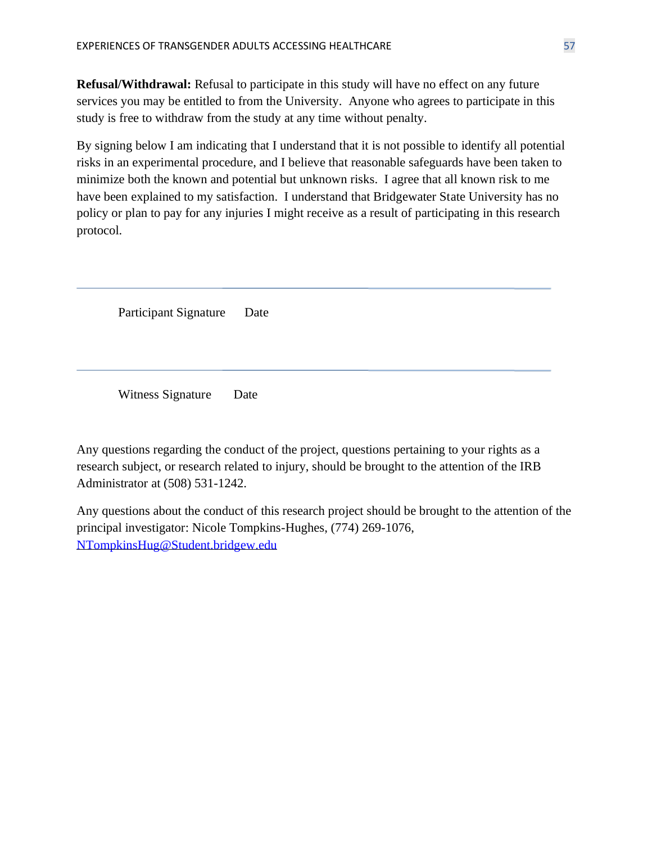**Refusal/Withdrawal:** Refusal to participate in this study will have no effect on any future services you may be entitled to from the University. Anyone who agrees to participate in this study is free to withdraw from the study at any time without penalty.

By signing below I am indicating that I understand that it is not possible to identify all potential risks in an experimental procedure, and I believe that reasonable safeguards have been taken to minimize both the known and potential but unknown risks. I agree that all known risk to me have been explained to my satisfaction. I understand that Bridgewater State University has no policy or plan to pay for any injuries I might receive as a result of participating in this research protocol.

Participant Signature Date

Witness Signature Date

Any questions regarding the conduct of the project, questions pertaining to your rights as a research subject, or research related to injury, should be brought to the attention of the IRB Administrator at (508) 531-1242.

Any questions about the conduct of this research project should be brought to the attention of the principal investigator: Nicole Tompkins-Hughes, (774) 269-1076, [NTompkinsHug@Student.bridgew.edu](mailto:NTompkinsHug@Student.bridgew.edu)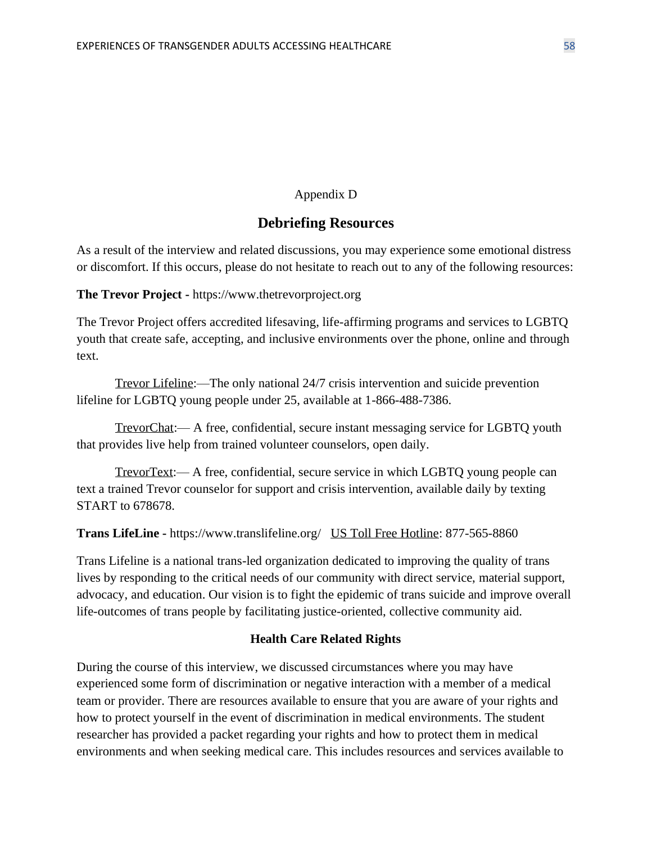## Appendix D

## **Debriefing Resources**

As a result of the interview and related discussions, you may experience some emotional distress or discomfort. If this occurs, please do not hesitate to reach out to any of the following resources:

**The Trevor Project -** https://www.thetrevorproject.org

The Trevor Project offers accredited lifesaving, life-affirming programs and services to LGBTQ youth that create safe, accepting, and inclusive environments over the phone, online and through text.

Trevor Lifeline:—The only national 24/7 crisis intervention and suicide prevention lifeline for LGBTQ young people under 25, available at 1-866-488-7386.

TrevorChat:— A free, confidential, secure instant messaging service for LGBTQ youth that provides live help from trained volunteer counselors, open daily.

TrevorText:— A free, confidential, secure service in which LGBTQ young people can text a trained Trevor counselor for support and crisis intervention, available daily by texting START to 678678.

**Trans LifeLine -** https://www.translifeline.org/ US Toll Free Hotline: 877-565-8860

Trans Lifeline is a national trans-led organization dedicated to improving the quality of trans lives by responding to the critical needs of our community with direct service, material support, advocacy, and education. Our vision is to fight the epidemic of trans suicide and improve overall life-outcomes of trans people by facilitating justice-oriented, collective community aid.

## **Health Care Related Rights**

During the course of this interview, we discussed circumstances where you may have experienced some form of discrimination or negative interaction with a member of a medical team or provider. There are resources available to ensure that you are aware of your rights and how to protect yourself in the event of discrimination in medical environments. The student researcher has provided a packet regarding your rights and how to protect them in medical environments and when seeking medical care. This includes resources and services available to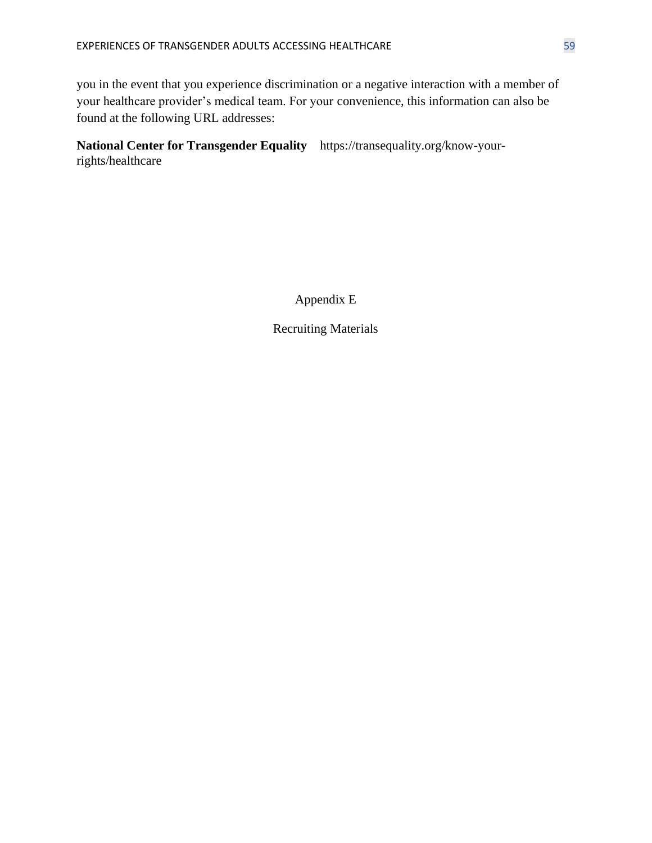you in the event that you experience discrimination or a negative interaction with a member of your healthcare provider's medical team. For your convenience, this information can also be found at the following URL addresses:

**National Center for Transgender Equality** https://transequality.org/know-yourrights/healthcare

Appendix E

Recruiting Materials